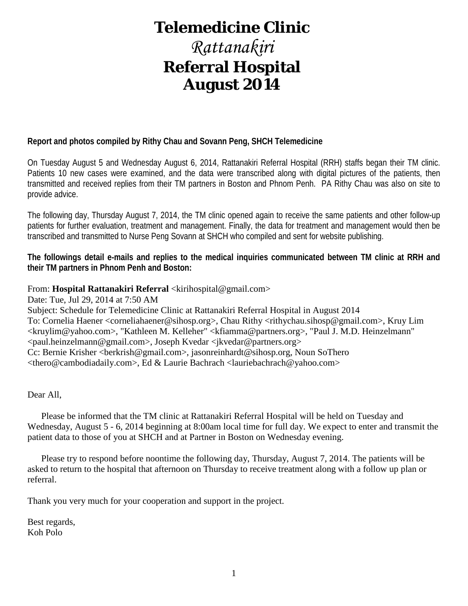# **Telemedicine Clinic**

# *Rattanakiri* **Referral Hospital August 2014**

### **Report and photos compiled by Rithy Chau and Sovann Peng, SHCH Telemedicine**

On Tuesday August 5 and Wednesday August 6, 2014, Rattanakiri Referral Hospital (RRH) staffs began their TM clinic. Patients 10 new cases were examined, and the data were transcribed along with digital pictures of the patients, then transmitted and received replies from their TM partners in Boston and Phnom Penh. PA Rithy Chau was also on site to provide advice.

The following day, Thursday August 7, 2014, the TM clinic opened again to receive the same patients and other follow-up patients for further evaluation, treatment and management. Finally, the data for treatment and management would then be transcribed and transmitted to Nurse Peng Sovann at SHCH who compiled and sent for website publishing.

**The followings detail e-mails and replies to the medical inquiries communicated between TM clinic at RRH and their TM partners in Phnom Penh and Boston:**

### From: **Hospital Rattanakiri Referral** <kirihospital@gmail.com>

Date: Tue, Jul 29, 2014 at 7:50 AM Subject: Schedule for Telemedicine Clinic at Rattanakiri Referral Hospital in August 2014 To: Cornelia Haener <corneliahaener@sihosp.org>, Chau Rithy <rithychau.sihosp@gmail.com>, Kruy Lim <kruylim@yahoo.com>, "Kathleen M. Kelleher" <kfiamma@partners.org>, "Paul J. M.D. Heinzelmann" <paul.heinzelmann@gmail.com>, Joseph Kvedar <jkvedar@partners.org> Cc: Bernie Krisher <br/>cherkrish@gmail.com>, jasonreinhardt@sihosp.org, Noun So<br/>Thero <thero@cambodiadaily.com>, Ed & Laurie Bachrach <lauriebachrach@yahoo.com>

Dear All,

 Please be informed that the TM clinic at Rattanakiri Referral Hospital will be held on Tuesday and Wednesday, August 5 - 6, 2014 beginning at 8:00am local time for full day. We expect to enter and transmit the patient data to those of you at SHCH and at Partner in Boston on Wednesday evening.

 Please try to respond before noontime the following day, Thursday, August 7, 2014. The patients will be asked to return to the hospital that afternoon on Thursday to receive treatment along with a follow up plan or referral.

Thank you very much for your cooperation and support in the project.

Best regards, Koh Polo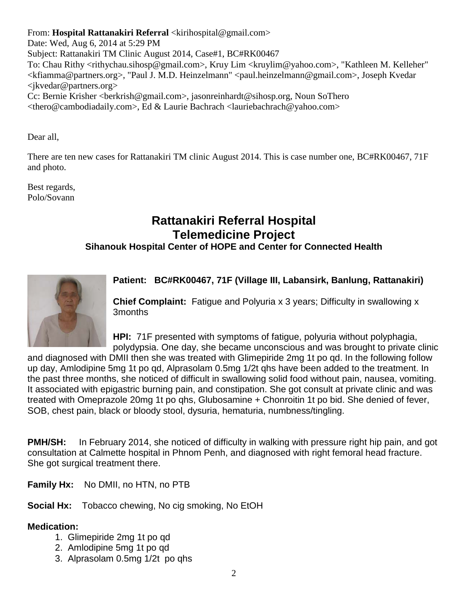From: **Hospital Rattanakiri Referral** <kirihospital@gmail.com>

Date: Wed, Aug 6, 2014 at 5:29 PM Subject: Rattanakiri TM Clinic August 2014, Case#1, BC#RK00467 To: Chau Rithy <rithychau.sihosp@gmail.com>, Kruy Lim <kruylim@yahoo.com>, "Kathleen M. Kelleher" <kfiamma@partners.org>, "Paul J. M.D. Heinzelmann" <paul.heinzelmann@gmail.com>, Joseph Kvedar <jkvedar@partners.org> Cc: Bernie Krisher <berkrish@gmail.com>, jasonreinhardt@sihosp.org, Noun SoThero <thero@cambodiadaily.com>, Ed & Laurie Bachrach <lauriebachrach@yahoo.com>

Dear all,

There are ten new cases for Rattanakiri TM clinic August 2014. This is case number one, BC#RK00467, 71F and photo.

Best regards, Polo/Sovann

# **Rattanakiri Referral Hospital Telemedicine Project**

### **Sihanouk Hospital Center of HOPE and Center for Connected Health**



### **Patient: BC#RK00467, 71F (Village III, Labansirk, Banlung, Rattanakiri)**

**Chief Complaint:** Fatigue and Polyuria x 3 years; Difficulty in swallowing x 3months

**HPI:** 71F presented with symptoms of fatigue, polyuria without polyphagia, polydypsia. One day, she became unconscious and was brought to private clinic

and diagnosed with DMII then she was treated with Glimepiride 2mg 1t po qd. In the following follow up day, Amlodipine 5mg 1t po qd, Alprasolam 0.5mg 1/2t qhs have been added to the treatment. In the past three months, she noticed of difficult in swallowing solid food without pain, nausea, vomiting. It associated with epigastric burning pain, and constipation. She got consult at private clinic and was treated with Omeprazole 20mg 1t po qhs, Glubosamine + Chonroitin 1t po bid. She denied of fever, SOB, chest pain, black or bloody stool, dysuria, hematuria, numbness/tingling.

**PMH/SH:** In February 2014, she noticed of difficulty in walking with pressure right hip pain, and got consultation at Calmette hospital in Phnom Penh, and diagnosed with right femoral head fracture. She got surgical treatment there.

**Family Hx:** No DMII, no HTN, no PTB

**Social Hx:** Tobacco chewing, No cig smoking, No EtOH

### **Medication:**

- 1. Glimepiride 2mg 1t po qd
- 2. Amlodipine 5mg 1t po qd
- 3. Alprasolam 0.5mg 1/2t po qhs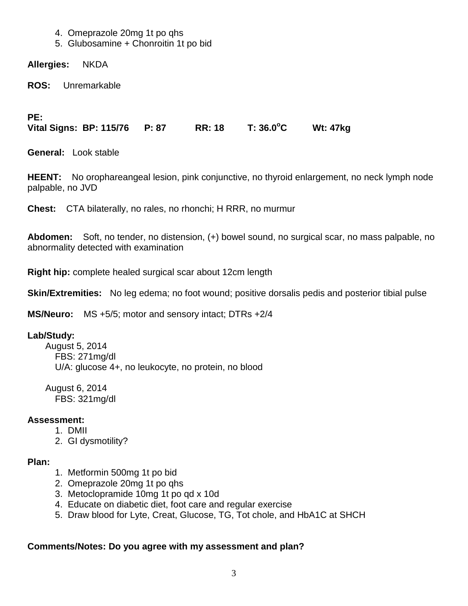- 4. Omeprazole 20mg 1t po qhs
- 5. Glubosamine + Chonroitin 1t po bid

**Allergies:** NKDA

**ROS:** Unremarkable

**PE:**

**Vital Signs: BP: 115/76 P: 87 RR: 18 T: 36.0<sup>o</sup> C Wt: 47kg** 

**General:** Look stable

**HEENT:** No orophareangeal lesion, pink conjunctive, no thyroid enlargement, no neck lymph node palpable, no JVD

**Chest:** CTA bilaterally, no rales, no rhonchi; H RRR, no murmur

**Abdomen:** Soft, no tender, no distension, (+) bowel sound, no surgical scar, no mass palpable, no abnormality detected with examination

**Right hip:** complete healed surgical scar about 12cm length

**Skin/Extremities:** No leg edema; no foot wound; positive dorsalis pedis and posterior tibial pulse

**MS/Neuro:** MS +5/5; motor and sensory intact; DTRs +2/4

### **Lab/Study:**

 August 5, 2014 FBS: 271mg/dl U/A: glucose 4+, no leukocyte, no protein, no blood

 August 6, 2014 FBS: 321mg/dl

### **Assessment:**

- 1. DMII
- 2. GI dysmotility?

### **Plan:**

- 1. Metformin 500mg 1t po bid
- 2. Omeprazole 20mg 1t po qhs
- 3. Metoclopramide 10mg 1t po qd x 10d
- 4. Educate on diabetic diet, foot care and regular exercise
- 5. Draw blood for Lyte, Creat, Glucose, TG, Tot chole, and HbA1C at SHCH

### **Comments/Notes: Do you agree with my assessment and plan?**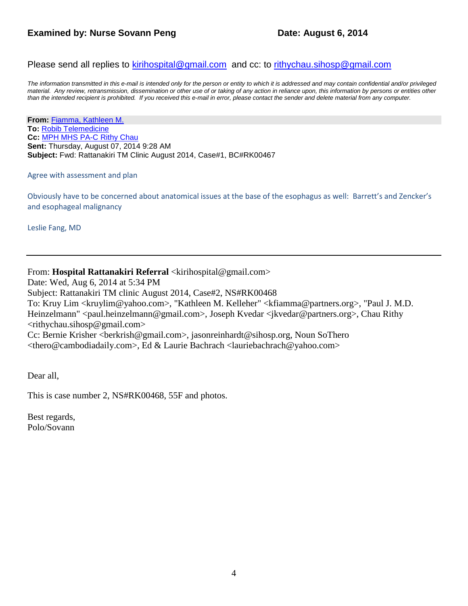### **Examined by: Nurse Sovann Peng Date: August 6, 2014**

Please send all replies to [kirihospital@gmail.com](mailto:kirihospital@gmail.com) and cc: to [rithychau.sihosp@gmail.com](mailto:rithychau.sihosp@gmail.com)

*The information transmitted in this e-mail is intended only for the person or entity to which it is addressed and may contain confidential and/or privileged*  material. Any review, retransmission, dissemination or other use of or taking of any action in reliance upon, this information by persons or entities other *than the intended recipient is prohibited. If you received this e-mail in error, please contact the sender and delete material from any computer.*

**From:** Fiamma, [Kathleen M.](mailto:KFIAMMA@PARTNERS.ORG) **To:** [Robib Telemedicine](mailto:robibtelemed@gmail.com) **Cc:** [MPH MHS PA-C Rithy Chau](mailto:rithychau@sihosp.org) **Sent:** Thursday, August 07, 2014 9:28 AM **Subject:** Fwd: Rattanakiri TM Clinic August 2014, Case#1, BC#RK00467

#### Agree with assessment and plan

Obviously have to be concerned about anatomical issues at the base of the esophagus as well: Barrett's and Zencker's and esophageal malignancy

Leslie Fang, MD

### From: Hospital Rattanakiri Referral <kirihospital@gmail.com>

Date: Wed, Aug 6, 2014 at 5:34 PM Subject: Rattanakiri TM clinic August 2014, Case#2, NS#RK00468 To: Kruy Lim <kruylim@yahoo.com>, "Kathleen M. Kelleher" <kfiamma@partners.org>, "Paul J. M.D. Heinzelmann" <paul.heinzelmann@gmail.com>, Joseph Kvedar <jkvedar@partners.org>, Chau Rithy  $\langle$ rithychau.sihosp@gmail.com> Cc: Bernie Krisher <berkrish@gmail.com>, jasonreinhardt@sihosp.org, Noun SoThero <thero@cambodiadaily.com>, Ed & Laurie Bachrach <lauriebachrach@yahoo.com>

Dear all,

This is case number 2, NS#RK00468, 55F and photos.

Best regards, Polo/Sovann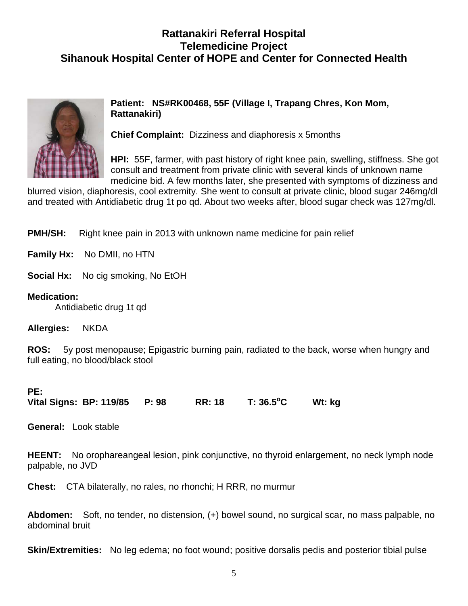## **Rattanakiri Referral Hospital Telemedicine Project Sihanouk Hospital Center of HOPE and Center for Connected Health**



**Patient: NS#RK00468, 55F (Village I, Trapang Chres, Kon Mom, Rattanakiri)**

**Chief Complaint:** Dizziness and diaphoresis x 5months

**HPI:** 55F, farmer, with past history of right knee pain, swelling, stiffness. She got consult and treatment from private clinic with several kinds of unknown name medicine bid. A few months later, she presented with symptoms of dizziness and

blurred vision, diaphoresis, cool extremity. She went to consult at private clinic, blood sugar 246mg/dl and treated with Antidiabetic drug 1t po qd. About two weeks after, blood sugar check was 127mg/dl.

**PMH/SH:** Right knee pain in 2013 with unknown name medicine for pain relief

**Family Hx:** No DMII, no HTN

**Social Hx:** No cig smoking, No EtOH

**Medication:** 

Antidiabetic drug 1t qd

**Allergies:** NKDA

**ROS:** 5y post menopause; Epigastric burning pain, radiated to the back, worse when hungry and full eating, no blood/black stool

### **PE:**

**Vital Signs: BP: 119/85 P: 98 RR: 18 T: 36.5<sup>o</sup> C Wt: kg** 

**General:** Look stable

**HEENT:** No orophareangeal lesion, pink conjunctive, no thyroid enlargement, no neck lymph node palpable, no JVD

**Chest:** CTA bilaterally, no rales, no rhonchi; H RRR, no murmur

**Abdomen:** Soft, no tender, no distension, (+) bowel sound, no surgical scar, no mass palpable, no abdominal bruit

**Skin/Extremities:** No leg edema; no foot wound; positive dorsalis pedis and posterior tibial pulse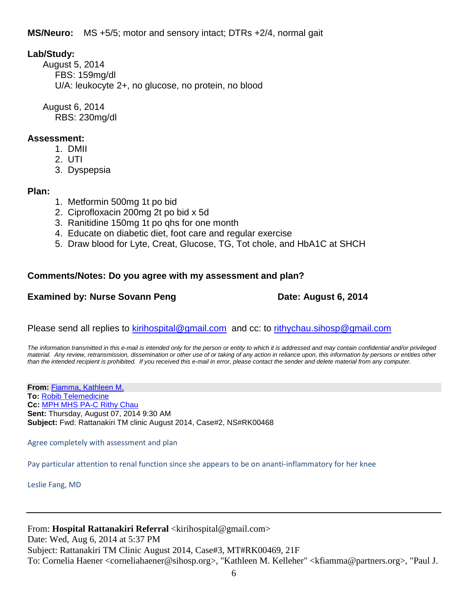**MS/Neuro:** MS +5/5; motor and sensory intact; DTRs +2/4, normal gait

### **Lab/Study:**

 August 5, 2014 FBS: 159mg/dl U/A: leukocyte 2+, no glucose, no protein, no blood

 August 6, 2014 RBS: 230mg/dl

### **Assessment:**

- 1. DMII
	- 2. UTI
	- 3. Dyspepsia

### **Plan:**

- 1. Metformin 500mg 1t po bid
- 2. Ciprofloxacin 200mg 2t po bid x 5d
- 3. Ranitidine 150mg 1t po qhs for one month
- 4. Educate on diabetic diet, foot care and regular exercise
- 5. Draw blood for Lyte, Creat, Glucose, TG, Tot chole, and HbA1C at SHCH

### **Comments/Notes: Do you agree with my assessment and plan?**

### **Examined by: Nurse Sovann Peng Date: August 6, 2014**

Please send all replies to [kirihospital@gmail.com](mailto:kirihospital@gmail.com) and cc: to [rithychau.sihosp@gmail.com](mailto:rithychau.sihosp@gmail.com)

*The information transmitted in this e-mail is intended only for the person or entity to which it is addressed and may contain confidential and/or privileged material. Any review, retransmission, dissemination or other use of or taking of any action in reliance upon, this information by persons or entities other than the intended recipient is prohibited. If you received this e-mail in error, please contact the sender and delete material from any computer.*

**From:** [Fiamma, Kathleen M.](mailto:KFIAMMA@PARTNERS.ORG) **To:** [Robib Telemedicine](mailto:robibtelemed@gmail.com) **Cc:** [MPH MHS PA-C Rithy Chau](mailto:rithychau@sihosp.org) **Sent:** Thursday, August 07, 2014 9:30 AM **Subject:** Fwd: Rattanakiri TM clinic August 2014, Case#2, NS#RK00468

Agree completely with assessment and plan

Pay particular attention to renal function since she appears to be on ananti-inflammatory for her knee

Leslie Fang, MD

### From: **Hospital Rattanakiri Referral** <kirihospital@gmail.com>

Date: Wed, Aug 6, 2014 at 5:37 PM Subject: Rattanakiri TM Clinic August 2014, Case#3, MT#RK00469, 21F To: Cornelia Haener <corneliahaener@sihosp.org>, "Kathleen M. Kelleher" <kfiamma@partners.org>, "Paul J.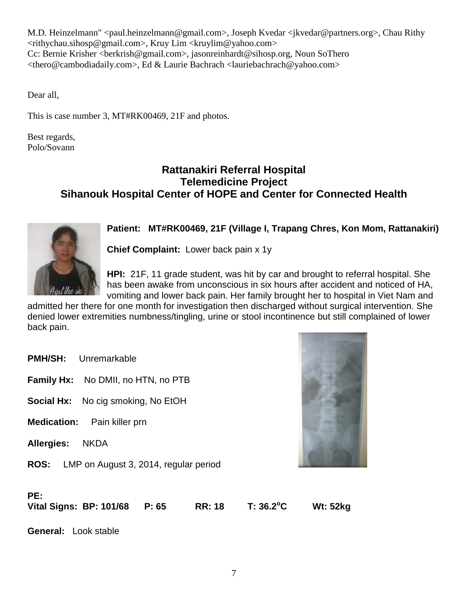M.D. Heinzelmann" <paul.heinzelmann@gmail.com>, Joseph Kvedar <jkvedar@partners.org>, Chau Rithy <rithychau.sihosp@gmail.com>, Kruy Lim <kruylim@yahoo.com> Cc: Bernie Krisher <berkrish@gmail.com>, jasonreinhardt@sihosp.org, Noun SoThero <thero@cambodiadaily.com>, Ed & Laurie Bachrach <lauriebachrach@yahoo.com>

Dear all,

This is case number 3, MT#RK00469, 21F and photos.

Best regards, Polo/Sovann

### **Rattanakiri Referral Hospital Telemedicine Project Sihanouk Hospital Center of HOPE and Center for Connected Health**



**Patient: MT#RK00469, 21F (Village I, Trapang Chres, Kon Mom, Rattanakiri)**

**Chief Complaint:** Lower back pain x 1y

**HPI:** 21F, 11 grade student, was hit by car and brought to referral hospital. She has been awake from unconscious in six hours after accident and noticed of HA, vomiting and lower back pain. Her family brought her to hospital in Viet Nam and

admitted her there for one month for investigation then discharged without surgical intervention. She denied lower extremities numbness/tingling, urine or stool incontinence but still complained of lower back pain.

**PMH/SH:** Unremarkable

**Family Hx:** No DMII, no HTN, no PTB

**Social Hx:** No cig smoking, No EtOH

- **Medication:** Pain killer prn
- **Allergies:** NKDA
- **ROS:** LMP on August 3, 2014, regular period



### **PE:**

**Vital Signs: BP: 101/68 P: 65 RR: 18 T: 36.2<sup>o</sup>**

**C Wt: 52kg** 

**General:** Look stable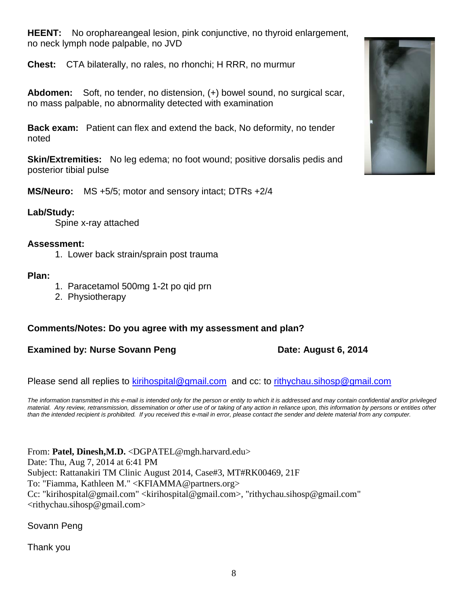**HEENT:** No orophareangeal lesion, pink conjunctive, no thyroid enlargement, no neck lymph node palpable, no JVD

**Chest:** CTA bilaterally, no rales, no rhonchi; H RRR, no murmur

**Abdomen:** Soft, no tender, no distension, (+) bowel sound, no surgical scar, no mass palpable, no abnormality detected with examination

**Back exam:** Patient can flex and extend the back, No deformity, no tender noted

**Skin/Extremities:** No leg edema; no foot wound; positive dorsalis pedis and posterior tibial pulse

**MS/Neuro:** MS +5/5; motor and sensory intact; DTRs +2/4

### **Lab/Study:**

Spine x-ray attached

### **Assessment:**

1. Lower back strain/sprain post trauma

### **Plan:**

- 1. Paracetamol 500mg 1-2t po qid prn
- 2. Physiotherapy

### **Comments/Notes: Do you agree with my assessment and plan?**

**Examined by: Nurse Sovann Peng Date: August 6, 2014** 

Please send all replies to [kirihospital@gmail.com](mailto:kirihospital@gmail.com) and cc: to [rithychau.sihosp@gmail.com](mailto:rithychau.sihosp@gmail.com)

The information transmitted in this e-mail is intended only for the person or entity to which it is addressed and may contain confidential and/or privileged *material. Any review, retransmission, dissemination or other use of or taking of any action in reliance upon, this information by persons or entities other than the intended recipient is prohibited. If you received this e-mail in error, please contact the sender and delete material from any computer.*

From: Patel, Dinesh, M.D. < DGPATEL@mgh.harvard.edu> Date: Thu, Aug 7, 2014 at 6:41 PM Subject: Rattanakiri TM Clinic August 2014, Case#3, MT#RK00469, 21F To: "Fiamma, Kathleen M." <KFIAMMA@partners.org> Cc: "kirihospital@gmail.com" <kirihospital@gmail.com>, "rithychau.sihosp@gmail.com" <rithychau.sihosp@gmail.com>

Sovann Peng

Thank you

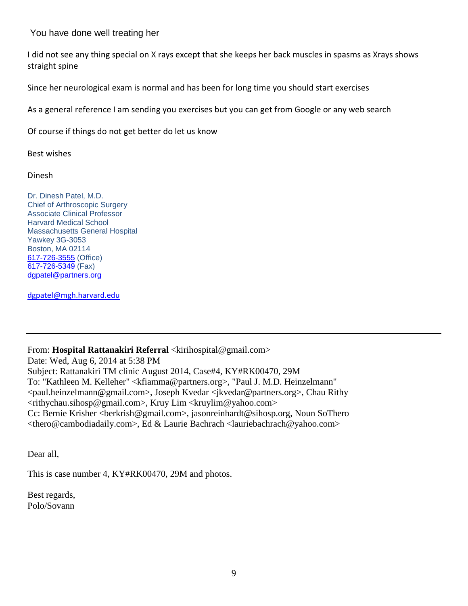### You have done well treating her

I did not see any thing special on X rays except that she keeps her back muscles in spasms as Xrays shows straight spine

Since her neurological exam is normal and has been for long time you should start exercises

As a general reference I am sending you exercises but you can get from Google or any web search

Of course if things do not get better do let us know

Best wishes

Dinesh

Dr. Dinesh Patel, M.D. Chief of Arthroscopic Surgery Associate Clinical Professor Harvard Medical School Massachusetts General Hospital Yawkey 3G-3053 Boston, MA 02114 [617-726-3555](tel:617-726-3555) (Office) [617-726-5349](tel:617-726-5349) (Fax) [dgpatel@partners.org](mailto:dgpatel@partners.org)

[dgpatel@mgh.harvard.edu](mailto:dgpatel@mgh.harvard.edu)

### From: **Hospital Rattanakiri Referral** <kirihospital@gmail.com>

Date: Wed, Aug 6, 2014 at 5:38 PM Subject: Rattanakiri TM clinic August 2014, Case#4, KY#RK00470, 29M To: "Kathleen M. Kelleher" <kfiamma@partners.org>, "Paul J. M.D. Heinzelmann" <paul.heinzelmann@gmail.com>, Joseph Kvedar <jkvedar@partners.org>, Chau Rithy <rithychau.sihosp@gmail.com>, Kruy Lim <kruylim@yahoo.com> Cc: Bernie Krisher <berkrish@gmail.com>, jasonreinhardt@sihosp.org, Noun SoThero <thero@cambodiadaily.com>, Ed & Laurie Bachrach <lauriebachrach@yahoo.com>

Dear all,

This is case number 4, KY#RK00470, 29M and photos.

Best regards, Polo/Sovann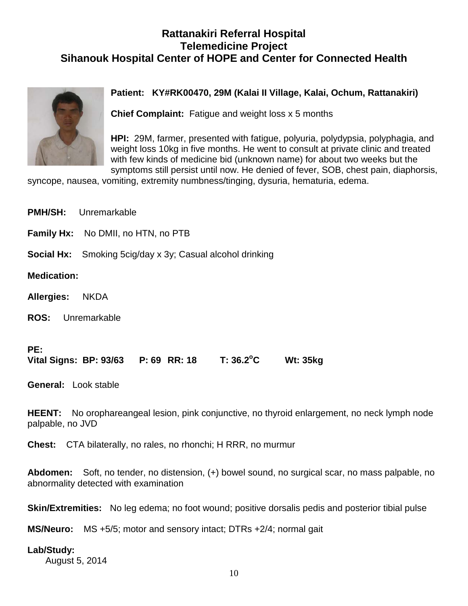## **Rattanakiri Referral Hospital Telemedicine Project Sihanouk Hospital Center of HOPE and Center for Connected Health**



### **Patient: KY#RK00470, 29M (Kalai II Village, Kalai, Ochum, Rattanakiri)**

**Chief Complaint:** Fatigue and weight loss x 5 months

**HPI:** 29M, farmer, presented with fatigue, polyuria, polydypsia, polyphagia, and weight loss 10kg in five months. He went to consult at private clinic and treated with few kinds of medicine bid (unknown name) for about two weeks but the symptoms still persist until now. He denied of fever, SOB, chest pain, diaphorsis,

syncope, nausea, vomiting, extremity numbness/tinging, dysuria, hematuria, edema.

|                             | <b>PMH/SH:</b> Unremarkable |                                           |                                                                  |                 |  |
|-----------------------------|-----------------------------|-------------------------------------------|------------------------------------------------------------------|-----------------|--|
|                             |                             | <b>Family Hx:</b> No DMII, no HTN, no PTB |                                                                  |                 |  |
|                             |                             |                                           | <b>Social Hx:</b> Smoking 5cig/day x 3y; Casual alcohol drinking |                 |  |
| <b>Medication:</b>          |                             |                                           |                                                                  |                 |  |
| Allergies: NKDA             |                             |                                           |                                                                  |                 |  |
| <b>ROS:</b> Unremarkable    |                             |                                           |                                                                  |                 |  |
| PE:                         |                             |                                           | Vital Signs: BP: 93/63  P: 69  RR: 18  T: 36.2°C                 | <b>Wt: 35kg</b> |  |
| <b>General:</b> Look stable |                             |                                           |                                                                  |                 |  |

**HEENT:** No orophareangeal lesion, pink conjunctive, no thyroid enlargement, no neck lymph node palpable, no JVD

**Chest:** CTA bilaterally, no rales, no rhonchi; H RRR, no murmur

**Abdomen:** Soft, no tender, no distension, (+) bowel sound, no surgical scar, no mass palpable, no abnormality detected with examination

**Skin/Extremities:** No leg edema; no foot wound; positive dorsalis pedis and posterior tibial pulse

**MS/Neuro:** MS +5/5; motor and sensory intact; DTRs +2/4; normal gait

### **Lab/Study:**

August 5, 2014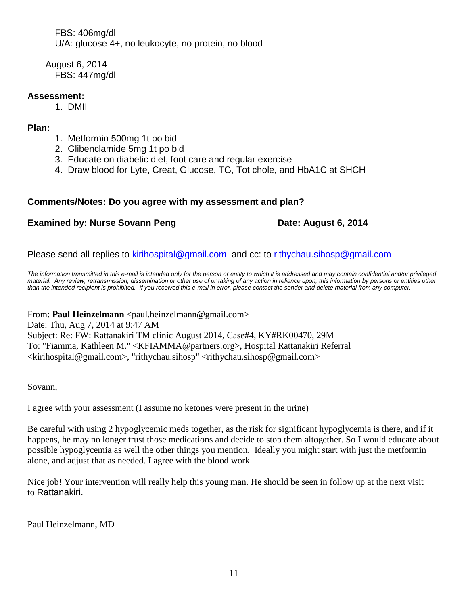FBS: 406mg/dl U/A: glucose 4+, no leukocyte, no protein, no blood

 August 6, 2014 FBS: 447mg/dl

### **Assessment:**

1. DMII

### **Plan:**

- 1. Metformin 500mg 1t po bid
- 2. Glibenclamide 5mg 1t po bid
- 3. Educate on diabetic diet, foot care and regular exercise
- 4. Draw blood for Lyte, Creat, Glucose, TG, Tot chole, and HbA1C at SHCH

### **Comments/Notes: Do you agree with my assessment and plan?**

### **Examined by: Nurse Sovann Peng Date: August 6, 2014**

Please send all replies to [kirihospital@gmail.com](mailto:kirihospital@gmail.com) and cc: to [rithychau.sihosp@gmail.com](mailto:rithychau.sihosp@gmail.com)

*The information transmitted in this e-mail is intended only for the person or entity to which it is addressed and may contain confidential and/or privileged material. Any review, retransmission, dissemination or other use of or taking of any action in reliance upon, this information by persons or entities other than the intended recipient is prohibited. If you received this e-mail in error, please contact the sender and delete material from any computer.*

From: **Paul Heinzelmann** <paul.heinzelmann@gmail.com>

Date: Thu, Aug 7, 2014 at 9:47 AM Subject: Re: FW: Rattanakiri TM clinic August 2014, Case#4, KY#RK00470, 29M To: "Fiamma, Kathleen M." <KFIAMMA@partners.org>, Hospital Rattanakiri Referral <kirihospital@gmail.com>, "rithychau.sihosp" <rithychau.sihosp@gmail.com>

Sovann,

I agree with your assessment (I assume no ketones were present in the urine)

Be careful with using 2 hypoglycemic meds together, as the risk for significant hypoglycemia is there, and if it happens, he may no longer trust those medications and decide to stop them altogether. So I would educate about possible hypoglycemia as well the other things you mention. Ideally you might start with just the metformin alone, and adjust that as needed. I agree with the blood work.

Nice job! Your intervention will really help this young man. He should be seen in follow up at the next visit to Rattanakiri.

Paul Heinzelmann, MD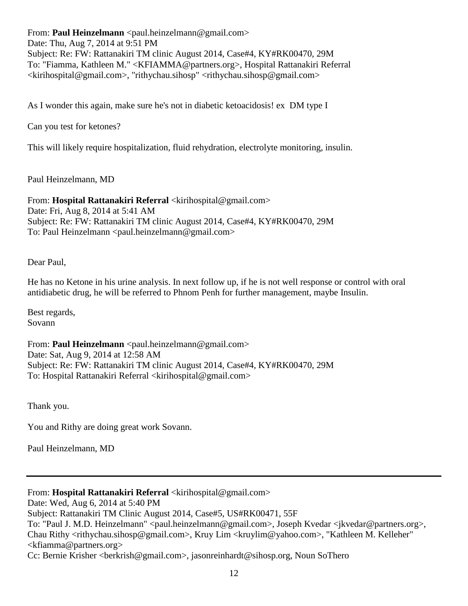From: **Paul Heinzelmann** <paul.heinzelmann@gmail.com> Date: Thu, Aug 7, 2014 at 9:51 PM Subject: Re: FW: Rattanakiri TM clinic August 2014, Case#4, KY#RK00470, 29M To: "Fiamma, Kathleen M." <KFIAMMA@partners.org>, Hospital Rattanakiri Referral <kirihospital@gmail.com>, "rithychau.sihosp" <rithychau.sihosp@gmail.com>

As I wonder this again, make sure he's not in diabetic ketoacidosis! ex DM type I

Can you test for ketones?

This will likely require hospitalization, fluid rehydration, electrolyte monitoring, insulin.

Paul Heinzelmann, MD

From: **Hospital Rattanakiri Referral** <kirihospital@gmail.com> Date: Fri, Aug 8, 2014 at 5:41 AM Subject: Re: FW: Rattanakiri TM clinic August 2014, Case#4, KY#RK00470, 29M To: Paul Heinzelmann <paul.heinzelmann@gmail.com>

Dear Paul,

He has no Ketone in his urine analysis. In next follow up, if he is not well response or control with oral antidiabetic drug, he will be referred to Phnom Penh for further management, maybe Insulin.

Best regards, Sovann

From: **Paul Heinzelmann** <paul.heinzelmann@gmail.com> Date: Sat, Aug 9, 2014 at 12:58 AM Subject: Re: FW: Rattanakiri TM clinic August 2014, Case#4, KY#RK00470, 29M To: Hospital Rattanakiri Referral <kirihospital@gmail.com>

Thank you.

You and Rithy are doing great work Sovann.

Paul Heinzelmann, MD

From: Hospital Rattanakiri Referral <kirihospital@gmail.com>

Date: Wed, Aug 6, 2014 at 5:40 PM

To: "Paul J. M.D. Heinzelmann" <paul.heinzelmann@gmail.com>, Joseph Kvedar <jkvedar@partners.org>, Chau Rithy <rithychau.sihosp@gmail.com>, Kruy Lim <kruylim@yahoo.com>, "Kathleen M. Kelleher"  $\langle k$ fiamma@partners.org $>$ 

Cc: Bernie Krisher <berkrish@gmail.com>, jasonreinhardt@sihosp.org, Noun SoThero

Subject: Rattanakiri TM Clinic August 2014, Case#5, US#RK00471, 55F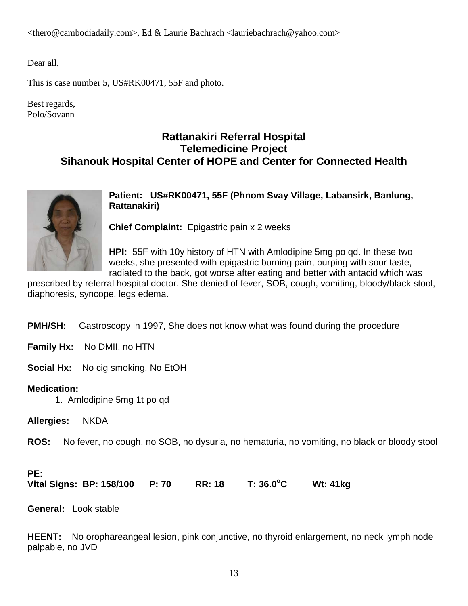<thero@cambodiadaily.com>, Ed & Laurie Bachrach <lauriebachrach@yahoo.com>

Dear all,

This is case number 5, US#RK00471, 55F and photo.

Best regards, Polo/Sovann

### **Rattanakiri Referral Hospital Telemedicine Project Sihanouk Hospital Center of HOPE and Center for Connected Health**



**Patient: US#RK00471, 55F (Phnom Svay Village, Labansirk, Banlung, Rattanakiri)**

**Chief Complaint:** Epigastric pain x 2 weeks

**HPI:** 55F with 10y history of HTN with Amlodipine 5mg po qd. In these two weeks, she presented with epigastric burning pain, burping with sour taste, radiated to the back, got worse after eating and better with antacid which was

prescribed by referral hospital doctor. She denied of fever, SOB, cough, vomiting, bloody/black stool, diaphoresis, syncope, legs edema.

**PMH/SH:** Gastroscopy in 1997, She does not know what was found during the procedure

**Family Hx:** No DMII, no HTN

**Social Hx:** No cig smoking, No EtOH

### **Medication:**

- 1. Amlodipine 5mg 1t po qd
- **Allergies:** NKDA

**ROS:** No fever, no cough, no SOB, no dysuria, no hematuria, no vomiting, no black or bloody stool

### **PE:**

**Vital Signs: BP: 158/100 P: 70 RR: 18 T: 36.0<sup>o</sup> C Wt: 41kg** 

**General:** Look stable

**HEENT:** No orophareangeal lesion, pink conjunctive, no thyroid enlargement, no neck lymph node palpable, no JVD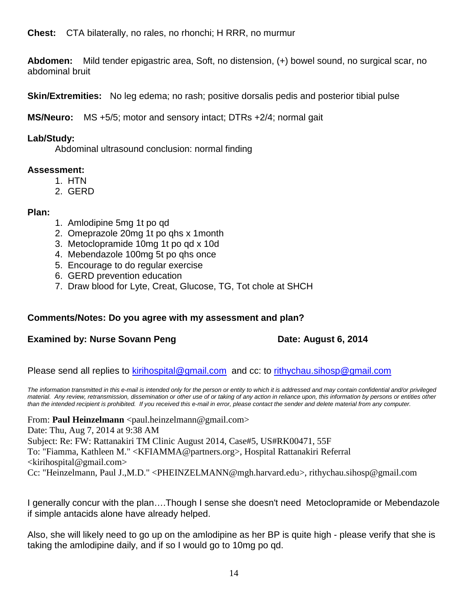**Chest:** CTA bilaterally, no rales, no rhonchi; H RRR, no murmur

**Abdomen:** Mild tender epigastric area, Soft, no distension, (+) bowel sound, no surgical scar, no abdominal bruit

**Skin/Extremities:** No leg edema; no rash; positive dorsalis pedis and posterior tibial pulse

**MS/Neuro:** MS +5/5; motor and sensory intact; DTRs +2/4; normal gait

### **Lab/Study:**

Abdominal ultrasound conclusion: normal finding

### **Assessment:**

- 1. HTN
- 2. GERD

### **Plan:**

- 1. Amlodipine 5mg 1t po qd
- 2. Omeprazole 20mg 1t po qhs x 1month
- 3. Metoclopramide 10mg 1t po qd x 10d
- 4. Mebendazole 100mg 5t po qhs once
- 5. Encourage to do regular exercise
- 6. GERD prevention education
- 7. Draw blood for Lyte, Creat, Glucose, TG, Tot chole at SHCH

### **Comments/Notes: Do you agree with my assessment and plan?**

### **Examined by: Nurse Sovann Peng Date: August 6, 2014**

Please send all replies to [kirihospital@gmail.com](mailto:kirihospital@gmail.com) and cc: to [rithychau.sihosp@gmail.com](mailto:rithychau.sihosp@gmail.com)

*The information transmitted in this e-mail is intended only for the person or entity to which it is addressed and may contain confidential and/or privileged material. Any review, retransmission, dissemination or other use of or taking of any action in reliance upon, this information by persons or entities other than the intended recipient is prohibited. If you received this e-mail in error, please contact the sender and delete material from any computer.*

From: **Paul Heinzelmann** <paul.heinzelmann@gmail.com> Date: Thu, Aug 7, 2014 at 9:38 AM Subject: Re: FW: Rattanakiri TM Clinic August 2014, Case#5, US#RK00471, 55F To: "Fiamma, Kathleen M." <KFIAMMA@partners.org>, Hospital Rattanakiri Referral  $\le$ kirihospital@gmail.com> Cc: "Heinzelmann, Paul J.,M.D." <PHEINZELMANN@mgh.harvard.edu>, rithychau.sihosp@gmail.com

I generally concur with the plan….Though I sense she doesn't need Metoclopramide or Mebendazole if simple antacids alone have already helped.

Also, she will likely need to go up on the amlodipine as her BP is quite high - please verify that she is taking the amlodipine daily, and if so I would go to 10mg po qd.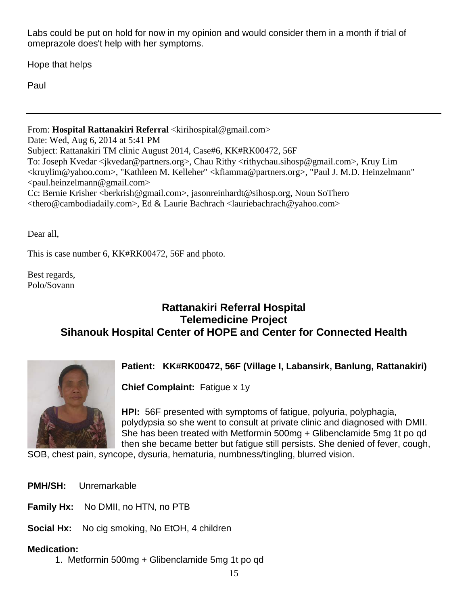Labs could be put on hold for now in my opinion and would consider them in a month if trial of omeprazole does't help with her symptoms.

Hope that helps

Paul

From: **Hospital Rattanakiri Referral** <kirihospital@gmail.com> Date: Wed, Aug 6, 2014 at 5:41 PM Subject: Rattanakiri TM clinic August 2014, Case#6, KK#RK00472, 56F

To: Joseph Kvedar <jkvedar@partners.org>, Chau Rithy <rithychau.sihosp@gmail.com>, Kruy Lim <kruylim@yahoo.com>, "Kathleen M. Kelleher" <kfiamma@partners.org>, "Paul J. M.D. Heinzelmann" <paul.heinzelmann@gmail.com>

Cc: Bernie Krisher <berkrish@gmail.com>, jasonreinhardt@sihosp.org, Noun SoThero <thero@cambodiadaily.com>, Ed & Laurie Bachrach <lauriebachrach@yahoo.com>

Dear all,

This is case number 6, KK#RK00472, 56F and photo.

Best regards, Polo/Sovann

### **Rattanakiri Referral Hospital Telemedicine Project Sihanouk Hospital Center of HOPE and Center for Connected Health**



### **Patient: KK#RK00472, 56F (Village I, Labansirk, Banlung, Rattanakiri)**

**Chief Complaint:** Fatigue x 1y

**HPI:** 56F presented with symptoms of fatigue, polyuria, polyphagia, polydypsia so she went to consult at private clinic and diagnosed with DMII. She has been treated with Metformin 500mg + Glibenclamide 5mg 1t po qd then she became better but fatigue still persists. She denied of fever, cough,

SOB, chest pain, syncope, dysuria, hematuria, numbness/tingling, blurred vision.

- **PMH/SH:** Unremarkable
- **Family Hx:** No DMII, no HTN, no PTB

**Social Hx:** No cig smoking, No EtOH, 4 children

### **Medication:**

1. Metformin 500mg + Glibenclamide 5mg 1t po qd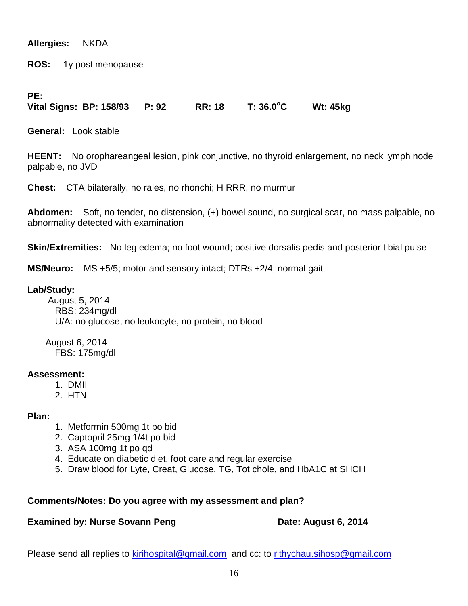**Allergies:** NKDA

**ROS:** 1y post menopause

### **PE:**

**Vital Signs: BP: 158/93 P: 92 RR: 18 T: 36.0<sup>o</sup> C Wt: 45kg** 

**General:** Look stable

**HEENT:** No orophareangeal lesion, pink conjunctive, no thyroid enlargement, no neck lymph node palpable, no JVD

**Chest:** CTA bilaterally, no rales, no rhonchi; H RRR, no murmur

**Abdomen:** Soft, no tender, no distension, (+) bowel sound, no surgical scar, no mass palpable, no abnormality detected with examination

**Skin/Extremities:** No leg edema; no foot wound; positive dorsalis pedis and posterior tibial pulse

**MS/Neuro:** MS +5/5; motor and sensory intact; DTRs +2/4; normal gait

### **Lab/Study:**

 August 5, 2014 RBS: 234mg/dl U/A: no glucose, no leukocyte, no protein, no blood

 August 6, 2014 FBS: 175mg/dl

### **Assessment:**

- 1. DMII
- 2. HTN

### **Plan:**

- 1. Metformin 500mg 1t po bid
- 2. Captopril 25mg 1/4t po bid
- 3. ASA 100mg 1t po qd
- 4. Educate on diabetic diet, foot care and regular exercise
- 5. Draw blood for Lyte, Creat, Glucose, TG, Tot chole, and HbA1C at SHCH

### **Comments/Notes: Do you agree with my assessment and plan?**

### **Examined by: Nurse Sovann Peng Date: August 6, 2014**

Please send all replies to [kirihospital@gmail.com](mailto:kirihospital@gmail.com) and cc: to [rithychau.sihosp@gmail.com](mailto:rithychau.sihosp@gmail.com)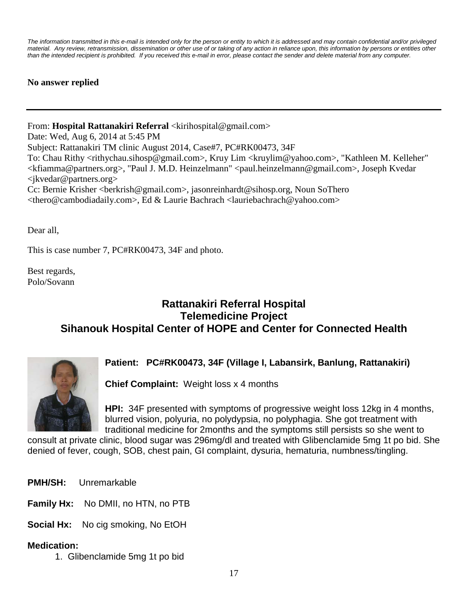*The information transmitted in this e-mail is intended only for the person or entity to which it is addressed and may contain confidential and/or privileged material. Any review, retransmission, dissemination or other use of or taking of any action in reliance upon, this information by persons or entities other than the intended recipient is prohibited. If you received this e-mail in error, please contact the sender and delete material from any computer.*

**No answer replied**

From: Hospital Rattanakiri Referral <kirihospital@gmail.com> Date: Wed, Aug 6, 2014 at 5:45 PM Subject: Rattanakiri TM clinic August 2014, Case#7, PC#RK00473, 34F To: Chau Rithy <rithychau.sihosp@gmail.com>, Kruy Lim <kruylim@yahoo.com>, "Kathleen M. Kelleher" <kfiamma@partners.org>, "Paul J. M.D. Heinzelmann" <paul.heinzelmann@gmail.com>, Joseph Kvedar <jkvedar@partners.org> Cc: Bernie Krisher <berkrish@gmail.com>, jasonreinhardt@sihosp.org, Noun SoThero <thero@cambodiadaily.com>, Ed & Laurie Bachrach <lauriebachrach@yahoo.com>

Dear all,

This is case number 7, PC#RK00473, 34F and photo.

Best regards, Polo/Sovann

### **Rattanakiri Referral Hospital Telemedicine Project Sihanouk Hospital Center of HOPE and Center for Connected Health**



### **Patient: PC#RK00473, 34F (Village I, Labansirk, Banlung, Rattanakiri)**

**Chief Complaint:** Weight loss x 4 months

**HPI:** 34F presented with symptoms of progressive weight loss 12kg in 4 months, blurred vision, polyuria, no polydypsia, no polyphagia. She got treatment with traditional medicine for 2months and the symptoms still persists so she went to

consult at private clinic, blood sugar was 296mg/dl and treated with Glibenclamide 5mg 1t po bid. She denied of fever, cough, SOB, chest pain, GI complaint, dysuria, hematuria, numbness/tingling.

- **PMH/SH:** Unremarkable
- **Family Hx:** No DMII, no HTN, no PTB

**Social Hx:** No cig smoking, No EtOH

### **Medication:**

1. Glibenclamide 5mg 1t po bid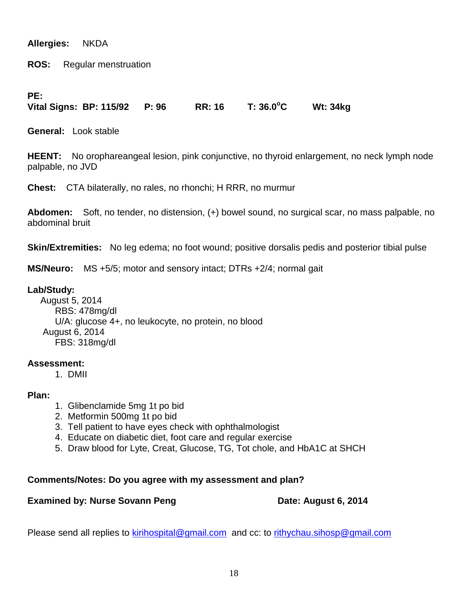**Allergies:** NKDA

**ROS:** Regular menstruation

### **PE:**

**Vital Signs: BP: 115/92 P: 96 RR: 16 T: 36.0<sup>o</sup> C Wt: 34kg** 

**General:** Look stable

**HEENT:** No orophareangeal lesion, pink conjunctive, no thyroid enlargement, no neck lymph node palpable, no JVD

**Chest:** CTA bilaterally, no rales, no rhonchi; H RRR, no murmur

**Abdomen:** Soft, no tender, no distension, (+) bowel sound, no surgical scar, no mass palpable, no abdominal bruit

**Skin/Extremities:** No leg edema; no foot wound; positive dorsalis pedis and posterior tibial pulse

**MS/Neuro:** MS +5/5; motor and sensory intact; DTRs +2/4; normal gait

### **Lab/Study:**

 August 5, 2014 RBS: 478mg/dl U/A: glucose 4+, no leukocyte, no protein, no blood August 6, 2014 FBS: 318mg/dl

### **Assessment:**

1. DMII

### **Plan:**

- 1. Glibenclamide 5mg 1t po bid
- 2. Metformin 500mg 1t po bid
- 3. Tell patient to have eyes check with ophthalmologist
- 4. Educate on diabetic diet, foot care and regular exercise
- 5. Draw blood for Lyte, Creat, Glucose, TG, Tot chole, and HbA1C at SHCH

### **Comments/Notes: Do you agree with my assessment and plan?**

### **Examined by: Nurse Sovann Peng Date: August 6, 2014**

Please send all replies to [kirihospital@gmail.com](mailto:kirihospital@gmail.com) and cc: to [rithychau.sihosp@gmail.com](mailto:rithychau.sihosp@gmail.com)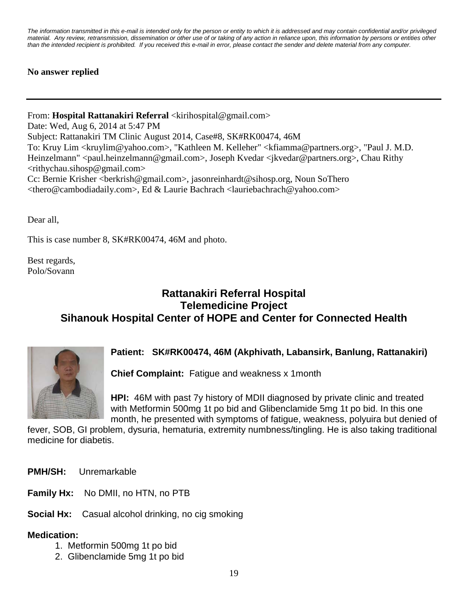*The information transmitted in this e-mail is intended only for the person or entity to which it is addressed and may contain confidential and/or privileged material. Any review, retransmission, dissemination or other use of or taking of any action in reliance upon, this information by persons or entities other than the intended recipient is prohibited. If you received this e-mail in error, please contact the sender and delete material from any computer.*

### **No answer replied**

From: Hospital Rattanakiri Referral <kirihospital@gmail.com> Date: Wed, Aug 6, 2014 at 5:47 PM Subject: Rattanakiri TM Clinic August 2014, Case#8, SK#RK00474, 46M To: Kruy Lim <kruylim@yahoo.com>, "Kathleen M. Kelleher" <kfiamma@partners.org>, "Paul J. M.D. Heinzelmann" <paul.heinzelmann@gmail.com>, Joseph Kvedar <jkvedar@partners.org>, Chau Rithy <rithychau.sihosp@gmail.com> Cc: Bernie Krisher <berkrish@gmail.com>, jasonreinhardt@sihosp.org, Noun SoThero <thero@cambodiadaily.com>, Ed & Laurie Bachrach <lauriebachrach@yahoo.com>

Dear all,

This is case number 8, SK#RK00474, 46M and photo.

Best regards, Polo/Sovann

## **Rattanakiri Referral Hospital Telemedicine Project Sihanouk Hospital Center of HOPE and Center for Connected Health**



### **Patient: SK#RK00474, 46M (Akphivath, Labansirk, Banlung, Rattanakiri)**

**Chief Complaint:** Fatigue and weakness x 1month

**HPI:** 46M with past 7y history of MDII diagnosed by private clinic and treated with Metformin 500mg 1t po bid and Glibenclamide 5mg 1t po bid. In this one month, he presented with symptoms of fatigue, weakness, polyuira but denied of

fever, SOB, GI problem, dysuria, hematuria, extremity numbness/tingling. He is also taking traditional medicine for diabetis.

**PMH/SH:** Unremarkable

- **Family Hx:** No DMII, no HTN, no PTB
- **Social Hx:** Casual alcohol drinking, no cig smoking

### **Medication:**

- 1. Metformin 500mg 1t po bid
- 2. Glibenclamide 5mg 1t po bid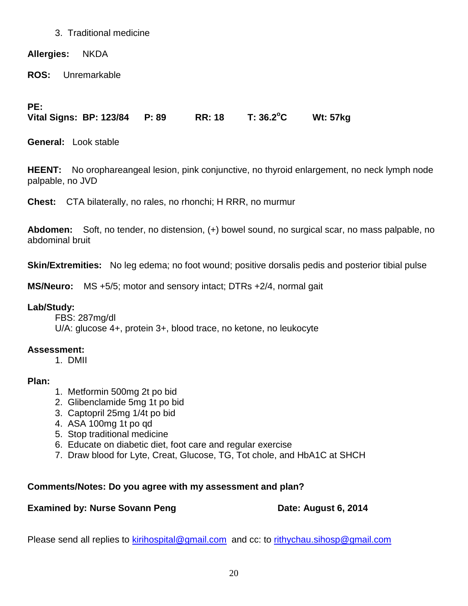### 3. Traditional medicine

**Allergies:** NKDA

**ROS:** Unremarkable

**PE:**

**Vital Signs: BP: 123/84 P: 89 RR: 18 T: 36.2<sup>o</sup> C Wt: 57kg** 

**General:** Look stable

**HEENT:** No orophareangeal lesion, pink conjunctive, no thyroid enlargement, no neck lymph node palpable, no JVD

**Chest:** CTA bilaterally, no rales, no rhonchi; H RRR, no murmur

**Abdomen:** Soft, no tender, no distension, (+) bowel sound, no surgical scar, no mass palpable, no abdominal bruit

**Skin/Extremities:** No leg edema; no foot wound; positive dorsalis pedis and posterior tibial pulse

**MS/Neuro:** MS +5/5; motor and sensory intact; DTRs +2/4, normal gait

### **Lab/Study:**

FBS: 287mg/dl U/A: glucose 4+, protein 3+, blood trace, no ketone, no leukocyte

### **Assessment:**

1. DMII

### **Plan:**

- 1. Metformin 500mg 2t po bid
- 2. Glibenclamide 5mg 1t po bid
- 3. Captopril 25mg 1/4t po bid
- 4. ASA 100mg 1t po qd
- 5. Stop traditional medicine
- 6. Educate on diabetic diet, foot care and regular exercise
- 7. Draw blood for Lyte, Creat, Glucose, TG, Tot chole, and HbA1C at SHCH

### **Comments/Notes: Do you agree with my assessment and plan?**

### **Examined by: Nurse Sovann Peng Date: August 6, 2014**

Please send all replies to [kirihospital@gmail.com](mailto:kirihospital@gmail.com) and cc: to [rithychau.sihosp@gmail.com](mailto:rithychau.sihosp@gmail.com)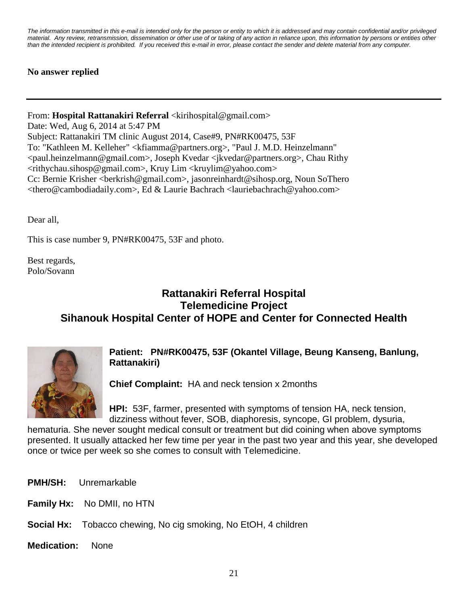*The information transmitted in this e-mail is intended only for the person or entity to which it is addressed and may contain confidential and/or privileged material. Any review, retransmission, dissemination or other use of or taking of any action in reliance upon, this information by persons or entities other than the intended recipient is prohibited. If you received this e-mail in error, please contact the sender and delete material from any computer.*

### **No answer replied**

From: Hospital Rattanakiri Referral <kirihospital@gmail.com> Date: Wed, Aug 6, 2014 at 5:47 PM Subject: Rattanakiri TM clinic August 2014, Case#9, PN#RK00475, 53F To: "Kathleen M. Kelleher" <kfiamma@partners.org>, "Paul J. M.D. Heinzelmann" <paul.heinzelmann@gmail.com>, Joseph Kvedar <jkvedar@partners.org>, Chau Rithy <rithychau.sihosp@gmail.com>, Kruy Lim <kruylim@yahoo.com> Cc: Bernie Krisher <berkrish@gmail.com>, jasonreinhardt@sihosp.org, Noun SoThero <thero@cambodiadaily.com>, Ed & Laurie Bachrach <lauriebachrach@yahoo.com>

Dear all,

This is case number 9, PN#RK00475, 53F and photo.

Best regards, Polo/Sovann

## **Rattanakiri Referral Hospital Telemedicine Project Sihanouk Hospital Center of HOPE and Center for Connected Health**



### **Patient: PN#RK00475, 53F (Okantel Village, Beung Kanseng, Banlung, Rattanakiri)**

**Chief Complaint:** HA and neck tension x 2months

**HPI:** 53F, farmer, presented with symptoms of tension HA, neck tension, dizziness without fever, SOB, diaphoresis, syncope, GI problem, dysuria,

hematuria. She never sought medical consult or treatment but did coining when above symptoms presented. It usually attacked her few time per year in the past two year and this year, she developed once or twice per week so she comes to consult with Telemedicine.

- **PMH/SH:** Unremarkable
- **Family Hx:** No DMII, no HTN
- **Social Hx:** Tobacco chewing, No cig smoking, No EtOH, 4 children
- **Medication:** None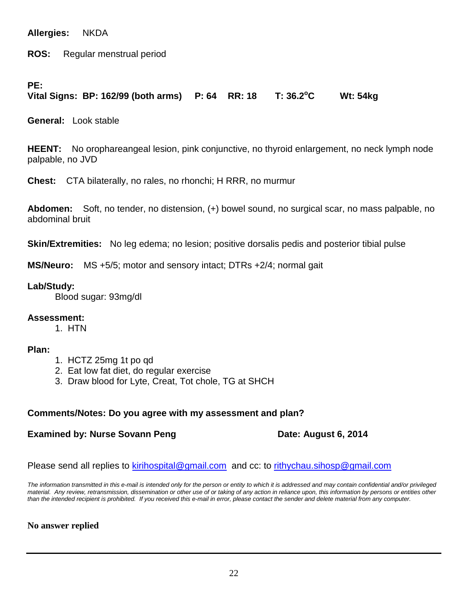**Allergies:** NKDA

**ROS:** Regular menstrual period

### **PE:**

#### **Vital Signs: BP: 162/99 (both arms) P: 64 RR: 18 T: 36.2<sup>o</sup> C Wt: 54kg**

**General:** Look stable

**HEENT:** No orophareangeal lesion, pink conjunctive, no thyroid enlargement, no neck lymph node palpable, no JVD

**Chest:** CTA bilaterally, no rales, no rhonchi; H RRR, no murmur

**Abdomen:** Soft, no tender, no distension, (+) bowel sound, no surgical scar, no mass palpable, no abdominal bruit

**Skin/Extremities:** No leg edema; no lesion; positive dorsalis pedis and posterior tibial pulse

**MS/Neuro:** MS +5/5; motor and sensory intact; DTRs +2/4; normal gait

### **Lab/Study:**

Blood sugar: 93mg/dl

### **Assessment:**

1. HTN

### **Plan:**

- 1. HCTZ 25mg 1t po qd
- 2. Eat low fat diet, do regular exercise
- 3. Draw blood for Lyte, Creat, Tot chole, TG at SHCH

### **Comments/Notes: Do you agree with my assessment and plan?**

### **Examined by: Nurse Sovann Peng Date: August 6, 2014**

Please send all replies to [kirihospital@gmail.com](mailto:kirihospital@gmail.com) and cc: to [rithychau.sihosp@gmail.com](mailto:rithychau.sihosp@gmail.com)

*The information transmitted in this e-mail is intended only for the person or entity to which it is addressed and may contain confidential and/or privileged material. Any review, retransmission, dissemination or other use of or taking of any action in reliance upon, this information by persons or entities other than the intended recipient is prohibited. If you received this e-mail in error, please contact the sender and delete material from any computer.*

### **No answer replied**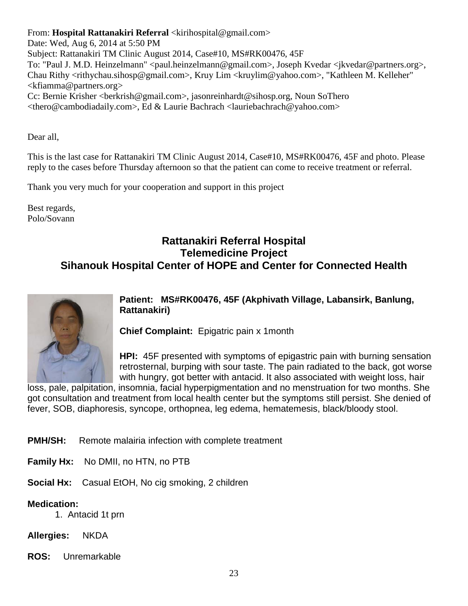From: **Hospital Rattanakiri Referral** <kirihospital@gmail.com>

Date: Wed, Aug 6, 2014 at 5:50 PM Subject: Rattanakiri TM Clinic August 2014, Case#10, MS#RK00476, 45F To: "Paul J. M.D. Heinzelmann" <paul.heinzelmann@gmail.com>, Joseph Kvedar <jkvedar@partners.org>, Chau Rithy <rithychau.sihosp@gmail.com>, Kruy Lim <kruylim@yahoo.com>, "Kathleen M. Kelleher" <kfiamma@partners.org> Cc: Bernie Krisher <berkrish@gmail.com>, jasonreinhardt@sihosp.org, Noun SoThero

<thero@cambodiadaily.com>, Ed & Laurie Bachrach <lauriebachrach@yahoo.com>

Dear all,

This is the last case for Rattanakiri TM Clinic August 2014, Case#10, MS#RK00476, 45F and photo. Please reply to the cases before Thursday afternoon so that the patient can come to receive treatment or referral.

Thank you very much for your cooperation and support in this project

Best regards, Polo/Sovann

### **Rattanakiri Referral Hospital Telemedicine Project Sihanouk Hospital Center of HOPE and Center for Connected Health**



**Patient: MS#RK00476, 45F (Akphivath Village, Labansirk, Banlung, Rattanakiri)**

**Chief Complaint:** Epigatric pain x 1month

**HPI:** 45F presented with symptoms of epigastric pain with burning sensation retrosternal, burping with sour taste. The pain radiated to the back, got worse with hungry, got better with antacid. It also associated with weight loss, hair

loss, pale, palpitation, insomnia, facial hyperpigmentation and no menstruation for two months. She got consultation and treatment from local health center but the symptoms still persist. She denied of fever, SOB, diaphoresis, syncope, orthopnea, leg edema, hematemesis, black/bloody stool.

- **PMH/SH:** Remote malairia infection with complete treatment
- **Family Hx:** No DMII, no HTN, no PTB

**Social Hx:** Casual EtOH, No cig smoking, 2 children

### **Medication:**

1. Antacid 1t prn

**Allergies:** NKDA

**ROS:** Unremarkable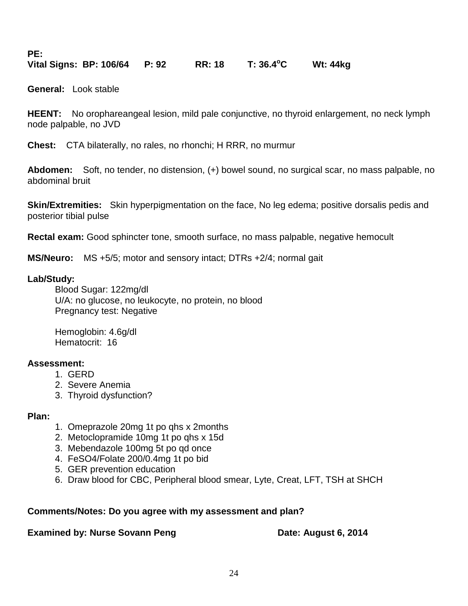**PE:**

**Vital Signs: BP: 106/64 P: 92 RR: 18 T: 36.4<sup>o</sup> C Wt: 44kg** 

**General:** Look stable

**HEENT:** No orophareangeal lesion, mild pale conjunctive, no thyroid enlargement, no neck lymph node palpable, no JVD

**Chest:** CTA bilaterally, no rales, no rhonchi; H RRR, no murmur

**Abdomen:** Soft, no tender, no distension, (+) bowel sound, no surgical scar, no mass palpable, no abdominal bruit

**Skin/Extremities:** Skin hyperpigmentation on the face, No leg edema; positive dorsalis pedis and posterior tibial pulse

**Rectal exam:** Good sphincter tone, smooth surface, no mass palpable, negative hemocult

**MS/Neuro:** MS +5/5; motor and sensory intact; DTRs +2/4; normal gait

### **Lab/Study:**

Blood Sugar: 122mg/dl U/A: no glucose, no leukocyte, no protein, no blood Pregnancy test: Negative

Hemoglobin: 4.6g/dl Hematocrit: 16

### **Assessment:**

- 1. GERD
- 2. Severe Anemia
- 3. Thyroid dysfunction?

### **Plan:**

- 1. Omeprazole 20mg 1t po qhs x 2months
- 2. Metoclopramide 10mg 1t po qhs x 15d
- 3. Mebendazole 100mg 5t po qd once
- 4. FeSO4/Folate 200/0.4mg 1t po bid
- 5. GER prevention education
- 6. Draw blood for CBC, Peripheral blood smear, Lyte, Creat, LFT, TSH at SHCH

### **Comments/Notes: Do you agree with my assessment and plan?**

**Examined by: Nurse Sovann Peng Date: August 6, 2014**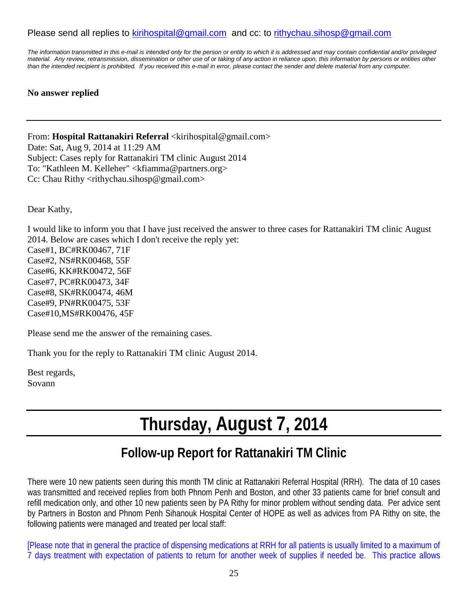### Please send all replies to [kirihospital@gmail.com](mailto:kirihospital@gmail.com) and cc: to [rithychau.sihosp@gmail.com](mailto:rithychau.sihosp@gmail.com)

*The information transmitted in this e-mail is intended only for the person or entity to which it is addressed and may contain confidential and/or privileged material. Any review, retransmission, dissemination or other use of or taking of any action in reliance upon, this information by persons or entities other than the intended recipient is prohibited. If you received this e-mail in error, please contact the sender and delete material from any computer.*

### **No answer replied**

From: **Hospital Rattanakiri Referral** <kirihospital@gmail.com> Date: Sat, Aug 9, 2014 at 11:29 AM Subject: Cases reply for Rattanakiri TM clinic August 2014 To: "Kathleen M. Kelleher" <kfiamma@partners.org> Cc: Chau Rithy <rithychau.sihosp@gmail.com>

Dear Kathy,

I would like to inform you that I have just received the answer to three cases for Rattanakiri TM clinic August 2014. Below are cases which I don't receive the reply yet: Case#1, BC#RK00467, 71F Case#2, NS#RK00468, 55F Case#6, KK#RK00472, 56F Case#7, PC#RK00473, 34F Case#8, SK#RK00474, 46M Case#9, PN#RK00475, 53F Case#10,MS#RK00476, 45F

Please send me the answer of the remaining cases.

Thank you for the reply to Rattanakiri TM clinic August 2014.

Best regards, Sovann

# **Thursday, August 7, 2014**

# **Follow-up Report for Rattanakiri TM Clinic**

There were 10 new patients seen during this month TM clinic at Rattanakiri Referral Hospital (RRH). The data of 10 cases was transmitted and received replies from both Phnom Penh and Boston, and other 33 patients came for brief consult and refill medication only, and other 10 new patients seen by PA Rithy for minor problem without sending data. Per advice sent by Partners in Boston and Phnom Penh Sihanouk Hospital Center of HOPE as well as advices from PA Rithy on site, the following patients were managed and treated per local staff:

[Please note that in general the practice of dispensing medications at RRH for all patients is usually limited to a maximum of 7 days treatment with expectation of patients to return for another week of supplies if needed be. This practice allows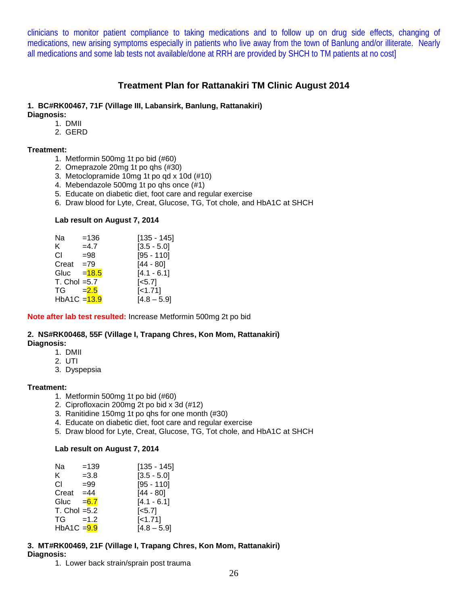clinicians to monitor patient compliance to taking medications and to follow up on drug side effects, changing of medications, new arising symptoms especially in patients who live away from the town of Banlung and/or illiterate. Nearly all medications and some lab tests not available/done at RRH are provided by SHCH to TM patients at no cost]

### **Treatment Plan for Rattanakiri TM Clinic August 2014**

### **1. BC#RK00467, 71F (Village III, Labansirk, Banlung, Rattanakiri)**

**Diagnosis:**

- 1. DMII
- 2. GERD

#### **Treatment:**

- 1. Metformin 500mg 1t po bid (#60)
- 2. Omeprazole 20mg 1t po qhs (#30)
- 3. Metoclopramide 10mg 1t po qd x 10d (#10)
- 4. Mebendazole 500mg 1t po qhs once (#1)
- 5. Educate on diabetic diet, foot care and regular exercise
- 6. Draw blood for Lyte, Creat, Glucose, TG, Tot chole, and HbA1C at SHCH

#### **Lab result on August 7, 2014**

| Na              | $=136$   | $[135 - 145]$         |
|-----------------|----------|-----------------------|
| K.              | $=4.7$   | $[3.5 - 5.0]$         |
| СI              | $= 98$   | $[95 - 110]$          |
| Creat           | $=79$    | $[44 - 80]$           |
| Gluc            | $= 18.5$ | $[4.1 - 6.1]$         |
| $T. Chol = 5.7$ |          | $\left[ <5.7 \right]$ |
| $TG = 2.5$      |          | $[-1.71]$             |
| HbA1C $=$ 13.9  |          | $[4.8 - 5.9]$         |

**Note after lab test resulted:** Increase Metformin 500mg 2t po bid

#### **2. NS#RK00468, 55F (Village I, Trapang Chres, Kon Mom, Rattanakiri) Diagnosis:**

- 1. DMII
	- 2. UTI
	- 3. Dyspepsia

#### **Treatment:**

- 1. Metformin 500mg 1t po bid (#60)
- 2. Ciprofloxacin 200mg 2t po bid x 3d (#12)
- 3. Ranitidine 150mg 1t po qhs for one month (#30)
- 4. Educate on diabetic diet, foot care and regular exercise
- 5. Draw blood for Lyte, Creat, Glucose, TG, Tot chole, and HbA1C at SHCH

#### **Lab result on August 7, 2014**

| Na              | $=139$  | [135 - 145]           |
|-----------------|---------|-----------------------|
| K.              | $=3.8$  | $[3.5 - 5.0]$         |
| СI              | $= 99$  | $[95 - 110]$          |
| Creat           | $=44$   | [44 - 80]             |
| Gluc            | $= 6.7$ | $[4.1 - 6.1]$         |
| $T. Chol = 5.2$ |         | $\left[ <5.7 \right]$ |
| $TG = 1.2$      |         | [<1.71]               |
| $HbA1C = 9.9$   |         | $[4.8 - 5.9]$         |

### **3. MT#RK00469, 21F (Village I, Trapang Chres, Kon Mom, Rattanakiri) Diagnosis:**

1. Lower back strain/sprain post trauma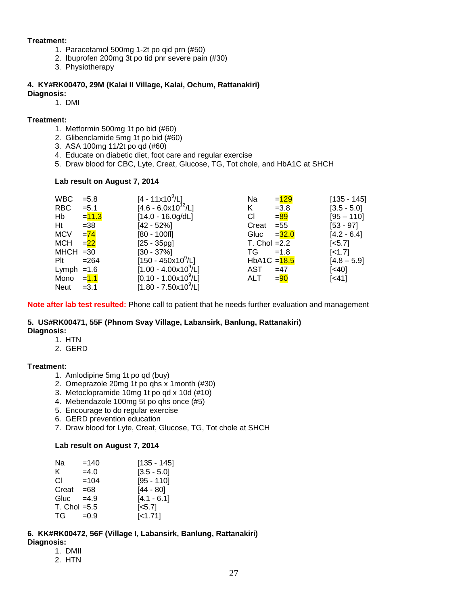#### **Treatment:**

- 1. Paracetamol 500mg 1-2t po qid prn (#50)
- 2. Ibuprofen 200mg 3t po tid pnr severe pain (#30)
- 3. Physiotherapy

#### **4. KY#RK00470, 29M (Kalai II Village, Kalai, Ochum, Rattanakiri) Diagnosis:**

1. DMI

#### **Treatment:**

- 1. Metformin 500mg 1t po bid (#60)
- 2. Glibenclamide 5mg 1t po bid (#60)
- 3. ASA 100mg 11/2t po qd (#60)
- 4. Educate on diabetic diet, foot care and regular exercise
- 5. Draw blood for CBC, Lyte, Creat, Glucose, TG, Tot chole, and HbA1C at SHCH

#### **Lab result on August 7, 2014**

| <b>WBC</b>   | $= 5.8$  | $[4 - 11x10^9/L]$                 | $= 129$<br>Na        | $[135 - 145]$         |
|--------------|----------|-----------------------------------|----------------------|-----------------------|
| <b>RBC</b>   | $= 5.1$  | $[4.6 - 6.0x10^{12}/L]$           | K<br>$=3.8$          | $[3.5 - 5.0]$         |
| Hb           | $= 11.3$ | $[14.0 - 16.0g/dL]$               | $= 89$<br>СI         | $[95 - 110]$          |
| Ht           | $=38$    | $[42 - 52\%]$                     | $= 55$<br>Creat      | $[53 - 97]$           |
| <b>MCV</b>   | $= 74$   | $[80 - 100$ fl]                   | Gluc<br>$= 32.0$     | $[4.2 - 6.4]$         |
| <b>MCH</b>   | $=22$    | $[25 - 35pg]$                     | T. Chol $=2.2$       | $\left[ <5.7 \right]$ |
| $MHCH = 30$  |          | $[30 - 37\%]$                     | TG<br>$=1.8$         | $\left[ 51.7 \right]$ |
| Plt          | $= 264$  | $[150 - 450x10^9/L]$              | HbA1C $=$ 18.5       | $[4.8 - 5.9]$         |
| Lymph $=1.6$ |          | $[1.00 - 4.00 \times 10^{9}/L]$   | AST<br>$=47$         | $\left[40\right]$     |
| Mono = 1.1   |          | $[0.10 - 1.00 \times 10^9/L]$     | $= 90$<br><b>ALT</b> | $\left[ < 41 \right]$ |
| <b>Neut</b>  | $=3.1$   | $[1.80 - 7.50 \times 10^{9} / L]$ |                      |                       |

**Note after lab test resulted:** Phone call to patient that he needs further evaluation and management

#### **5. US#RK00471, 55F (Phnom Svay Village, Labansirk, Banlung, Rattanakiri) Diagnosis:**

- 1. HTN
- 2. GERD

#### **Treatment:**

- 1. Amlodipine 5mg 1t po qd (buy)
- 2. Omeprazole 20mg 1t po qhs x 1month (#30)
- 3. Metoclopramide 10mg 1t po qd x 10d (#10)
- 4. Mebendazole 100mg 5t po qhs once (#5)
- 5. Encourage to do regular exercise
- 6. GERD prevention education
- 7. Draw blood for Lyte, Creat, Glucose, TG, Tot chole at SHCH

#### **Lab result on August 7, 2014**

| Na              | $=140$ | $[135 - 145]$         |
|-----------------|--------|-----------------------|
| K.              | $=4.0$ | $[3.5 - 5.0]$         |
| СI              | $=104$ | $[95 - 110]$          |
| Creat           | =68    | $[44 - 80]$           |
| Gluc            | $=4.9$ | $[4.1 - 6.1]$         |
| $T. Chol = 5.5$ |        | $\left[ <5.7 \right]$ |
| TG a            | $=0.9$ | $[-1.71]$             |

### **6. KK#RK00472, 56F (Village I, Labansirk, Banlung, Rattanakiri)**

- **Diagnosis:**
	- 1. DMII
	- 2. HTN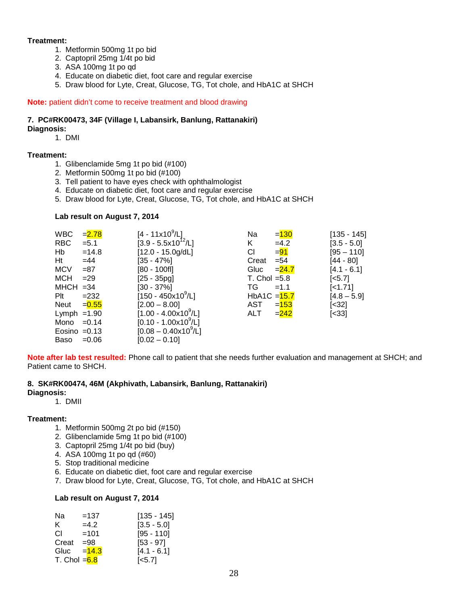#### **Treatment:**

- 1. Metformin 500mg 1t po bid
	- 2. Captopril 25mg 1/4t po bid
	- 3. ASA 100mg 1t po qd
	- 4. Educate on diabetic diet, foot care and regular exercise
	- 5. Draw blood for Lyte, Creat, Glucose, TG, Tot chole, and HbA1C at SHCH

#### **Note:** patient didn't come to receive treatment and blood drawing

## **7. PC#RK00473, 34F (Village I, Labansirk, Banlung, Rattanakiri)**

### **Diagnosis:**

1. DMI

#### **Treatment:**

- 1. Glibenclamide 5mg 1t po bid (#100)
- 2. Metformin 500mg 1t po bid (#100)
- 3. Tell patient to have eyes check with ophthalmologist
- 4. Educate on diabetic diet, foot care and regular exercise
- 5. Draw blood for Lyte, Creat, Glucose, TG, Tot chole, and HbA1C at SHCH

#### **Lab result on August 7, 2014**

| <b>WBC</b>     | $= 2.78$ | $[4 - 11 \times 10^9 / L]$       | Na                         | $= 130$  | $[135 - 145]$         |
|----------------|----------|----------------------------------|----------------------------|----------|-----------------------|
| <b>RBC</b>     | $= 5.1$  | $[3.9 - 5.5 \times 10^{12} / L]$ | Κ                          | $=4.2$   | $[3.5 - 5.0]$         |
| Hb             | $=14.8$  | $[12.0 - 15.0g/dL]$              | СI                         | $= 91$   | $[95 - 110]$          |
| Ht             | $=44$    | [35 - 47%]                       | Creat                      | $= 54$   | [44 - 80]             |
| <b>MCV</b>     | $= 87$   | $[80 - 100$ fl]                  | Gluc                       | $= 24.7$ | $[4.1 - 6.1]$         |
| <b>MCH</b>     | $= 29$   | $[25 - 35pq]$                    | T. Chol $=5.8$             |          | $\left[ <5.7 \right]$ |
| $MHCH = 34$    |          | $[30 - 37\%]$                    | TG                         | $=1.1$   | $[-1.71]$             |
| $P$ lt         | $= 232$  | $[150 - 450 \times 10^9$ /L]     | HbA1C $=\frac{15.7}{15.7}$ |          | $[4.8 - 5.9]$         |
| Neut           | $= 0.55$ | $[2.00 - 8.00]$                  | AST                        | $= 153$  | [<32]                 |
| Lymph $=1.90$  |          | $[1.00 - 4.00 \times 10^9 / L]$  | ALT                        | $= 242$  | $[<33]$               |
| Mono           | $=0.14$  | $[0.10 - 1.00 \times 10^9 / L]$  |                            |          |                       |
| Eosino $=0.13$ |          | $[0.08 - 0.40 \times 10^{9}$ /L] |                            |          |                       |
| Baso           | $=0.06$  | $[0.02 - 0.10]$                  |                            |          |                       |

**Note after lab test resulted:** Phone call to patient that she needs further evaluation and management at SHCH; and Patient came to SHCH.

#### **8. SK#RK00474, 46M (Akphivath, Labansirk, Banlung, Rattanakiri)**

### **Diagnosis:**

1. DMII

#### **Treatment:**

- 1. Metformin 500mg 2t po bid (#150)
- 2. Glibenclamide 5mg 1t po bid (#100)
- 3. Captopril 25mg 1/4t po bid (buy)
- 4. ASA 100mg 1t po qd (#60)
- 5. Stop traditional medicine
- 6. Educate on diabetic diet, foot care and regular exercise
- 7. Draw blood for Lyte, Creat, Glucose, TG, Tot chole, and HbA1C at SHCH

#### **Lab result on August 7, 2014**

| Na                         | $=137$  | [135 - 145]           |
|----------------------------|---------|-----------------------|
| ĸ.                         | $=4.2$  | $[3.5 - 5.0]$         |
| СI                         | $=101$  | $[95 - 110]$          |
| Creat                      | $= 98$  | $[53 - 97]$           |
| Gluc                       | $=14.3$ | $[4.1 - 6.1]$         |
| T. Chol = <mark>6.8</mark> |         | $\left[ <5.7 \right]$ |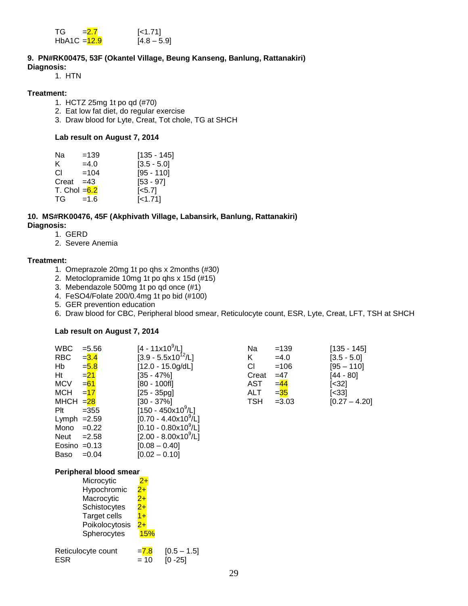| TG.            | $= 2.7$ | $\left[$ <1.71] |
|----------------|---------|-----------------|
| HbA1C $=$ 12.9 |         | $[4.8 - 5.9]$   |

#### **9. PN#RK00475, 53F (Okantel Village, Beung Kanseng, Banlung, Rattanakiri) Diagnosis:**

1. HTN

#### **Treatment:**

- 1. HCTZ 25mg 1t po qd (#70)
- 2. Eat low fat diet, do regular exercise
- 3. Draw blood for Lyte, Creat, Tot chole, TG at SHCH

#### **Lab result on August 7, 2014**

| Na                                                                                                                                                                                                                             | $=139$ | [135 - 145]         |
|--------------------------------------------------------------------------------------------------------------------------------------------------------------------------------------------------------------------------------|--------|---------------------|
| K.                                                                                                                                                                                                                             | $=4.0$ | $[3.5 - 5.0]$       |
| CI.                                                                                                                                                                                                                            | $=104$ | $[95 - 110]$        |
| Creat                                                                                                                                                                                                                          | $=43$  | $[53 - 97]$         |
| T. Chol $=6.2$                                                                                                                                                                                                                 |        | $\left[ 5.7\right]$ |
| TG and the set of the set of the set of the set of the set of the set of the set of the set of the set of the set of the set of the set of the set of the set of the set of the set of the set of the set of the set of the se | $=1.6$ | $[-1.71]$           |

#### **10. MS#RK00476, 45F (Akphivath Village, Labansirk, Banlung, Rattanakiri) Diagnosis:**

- 1. GERD
- 2. Severe Anemia

#### **Treatment:**

- 1. Omeprazole 20mg 1t po qhs x 2months (#30)
- 2. Metoclopramide 10mg 1t po qhs x 15d (#15)
- 3. Mebendazole 500mg 1t po qd once (#1)
- 4. FeSO4/Folate 200/0.4mg 1t po bid (#100)
- 5. GER prevention education
- 6. Draw blood for CBC, Peripheral blood smear, Reticulocyte count, ESR, Lyte, Creat, LFT, TSH at SHCH

#### **Lab result on August 7, 2014**

| <b>WBC</b>             | $= 5.56$               | $[4 - 11 \times 10^9 / L]$           | Na         | $=139$   | [135 - 145]     |
|------------------------|------------------------|--------------------------------------|------------|----------|-----------------|
| RBC                    | $= 3.4$                | $[3.9 - 5.5x10^{12}/L]$              | Κ          | $=4.0$   | $[3.5 - 5.0]$   |
| Hb                     | $= 5.8$                | $[12.0 - 15.0g/dL]$                  | CI         | $=106$   | $[95 - 110]$    |
| Ht                     | $= 21$                 | [35 - 47%]                           | Creat      | $=47$    | [44 - 80]       |
| MCV                    | $= 61$                 | [80 - 100fl]                         | AST        | $=$ $44$ | [<32]           |
| МСН                    | $=17$                  | $[25 - 35pq]$                        | <b>ALT</b> | $= 35$   | [<33]           |
| MHCH = <mark>28</mark> |                        | [30 - 37%]                           | TSH        | $=3.03$  | $[0.27 - 4.20]$ |
| Plt                    | $=355$                 | [150 - 450x10 <sup>9</sup> /L]       |            |          |                 |
| Lymph $=2.59$          |                        | $[0.70 - 4.40 \times 10^9/L]$        |            |          |                 |
| Mono                   | $=0.22$                | $[0.10 - 0.80 \times 10^9/L]$        |            |          |                 |
| Neut                   | $=2.58$                | $[2.00 - 8.00 \times 10^9/\text{L}]$ |            |          |                 |
| $Eosino = 0.13$        |                        | $[0.08 - 0.40]$                      |            |          |                 |
| Baso                   | $=0.04$                | $[0.02 - 0.10]$                      |            |          |                 |
|                        | Peripheral blood smear |                                      |            |          |                 |
|                        | Microcytic             | $2+$                                 |            |          |                 |

#### **Peripheral blood smear**

| Microcytic          | 2+      |
|---------------------|---------|
| Hypochromic         | $^{2+}$ |
| Macrocytic          | $2 +$   |
| Schistocytes        | $2+$    |
| <b>Target cells</b> | $1+$    |
| Poikolocytosis      | $2 +$   |
| Spherocytes         | 15%     |
|                     |         |

| Reticulocyte count | $= 7.8$ | $[0.5 - 1.5]$ |
|--------------------|---------|---------------|
| <b>ESR</b>         | $= 10$  | $ 0 - 25 $    |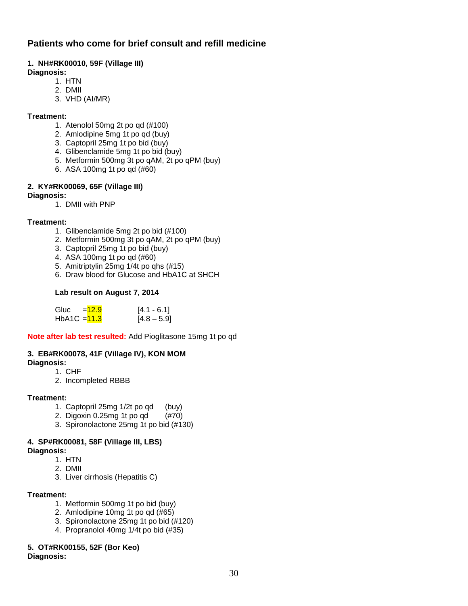### **Patients who come for brief consult and refill medicine**

### **1. NH#RK00010, 59F (Village III)**

#### **Diagnosis:**

- 1. HTN
- 2. DMII
- 3. VHD (AI/MR)

#### **Treatment:**

- 1. Atenolol 50mg 2t po qd (#100)
- 2. Amlodipine 5mg 1t po qd (buy)
- 3. Captopril 25mg 1t po bid (buy)
- 4. Glibenclamide 5mg 1t po bid (buy)
- 5. Metformin 500mg 3t po qAM, 2t po qPM (buy)
- 6. ASA 100mg 1t po qd (#60)

### **2. KY#RK00069, 65F (Village III)**

#### **Diagnosis:**

1. DMII with PNP

### **Treatment:**

- 1. Glibenclamide 5mg 2t po bid (#100)
- 2. Metformin 500mg 3t po qAM, 2t po qPM (buy)
- 3. Captopril 25mg 1t po bid (buy)
- 4. ASA 100mg 1t po qd (#60)
- 5. Amitriptylin 25mg 1/4t po qhs (#15)
- 6. Draw blood for Glucose and HbA1C at SHCH

### **Lab result on August 7, 2014**

| Gluc           | $=12.9$ | $[4.1 - 6.1]$ |
|----------------|---------|---------------|
| HbA1C $=$ 11.3 |         | $[4.8 - 5.9]$ |

**Note after lab test resulted:** Add Pioglitasone 15mg 1t po qd

#### **3. EB#RK00078, 41F (Village IV), KON MOM**

- **Diagnosis:**
	- 1. CHF
	- 2. Incompleted RBBB

#### **Treatment:**

- 1. Captopril 25mg 1/2t po qd (buy)
- 2. Digoxin 0.25mg 1t po qd (#70)
- 3. Spironolactone 25mg 1t po bid (#130)

### **4. SP#RK00081, 58F (Village III, LBS)**

**Diagnosis:**

- 1. HTN
- 2. DMII
- 3. Liver cirrhosis (Hepatitis C)

#### **Treatment:**

- 1. Metformin 500mg 1t po bid (buy)
- 2. Amlodipine 10mg 1t po qd (#65)
- 3. Spironolactone 25mg 1t po bid (#120)
- 4. Propranolol 40mg 1/4t po bid (#35)

## **5. OT#RK00155, 52F (Bor Keo)**

### **Diagnosis:**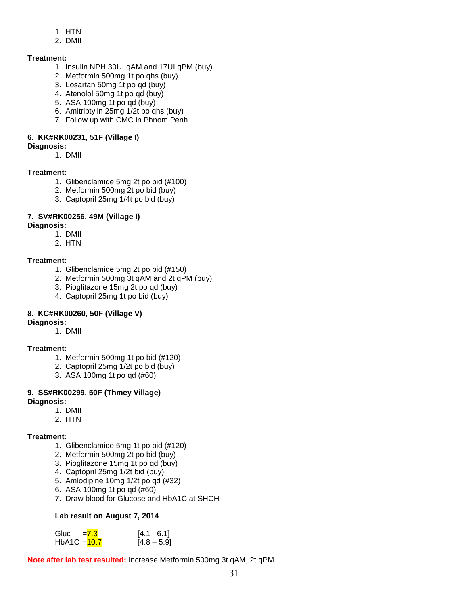- 1. HTN
- 2. DMII

### **Treatment:**

- 1. Insulin NPH 30UI qAM and 17UI qPM (buy)
- 2. Metformin 500mg 1t po qhs (buy)
- 3. Losartan 50mg 1t po qd (buy)
- 4. Atenolol 50mg 1t po qd (buy)
- 5. ASA 100mg 1t po qd (buy)
- 6. Amitriptylin 25mg 1/2t po qhs (buy)
- 7. Follow up with CMC in Phnom Penh

### **6. KK#RK00231, 51F (Village I)**

### **Diagnosis:**

1. DMII

### **Treatment:**

- 1. Glibenclamide 5mg 2t po bid (#100)
- 2. Metformin 500mg 2t po bid (buy)
- 3. Captopril 25mg 1/4t po bid (buy)

### **7. SV#RK00256, 49M (Village I)**

- **Diagnosis:** 
	- 1. DMII
	- 2. HTN

### **Treatment:**

- 1. Glibenclamide 5mg 2t po bid (#150)
- 2. Metformin 500mg 3t qAM and 2t qPM (buy)
- 3. Pioglitazone 15mg 2t po qd (buy)
- 4. Captopril 25mg 1t po bid (buy)

### **8. KC#RK00260, 50F (Village V)**

### **Diagnosis:**

1. DMII

### **Treatment:**

- 1. Metformin 500mg 1t po bid (#120)
- 2. Captopril 25mg 1/2t po bid (buy)
- 3. ASA 100mg 1t po qd (#60)

### **9. SS#RK00299, 50F (Thmey Village)**

### **Diagnosis:**

- 1. DMII
- 2. HTN

### **Treatment:**

- 1. Glibenclamide 5mg 1t po bid (#120)
- 2. Metformin 500mg 2t po bid (buy)
- 3. Pioglitazone 15mg 1t po qd (buy)
- 4. Captopril 25mg 1/2t bid (buy)
- 5. Amlodipine 10mg 1/2t po qd (#32)
- 6. ASA 100mg 1t po qd (#60)
- 7. Draw blood for Glucose and HbA1C at SHCH

### **Lab result on August 7, 2014**

| Gluc           | $=7.3$ | $[4.1 - 6.1]$ |
|----------------|--------|---------------|
| HbA1C $=$ 10.7 |        | $[4.8 - 5.9]$ |

**Note after lab test resulted:** Increase Metformin 500mg 3t qAM, 2t qPM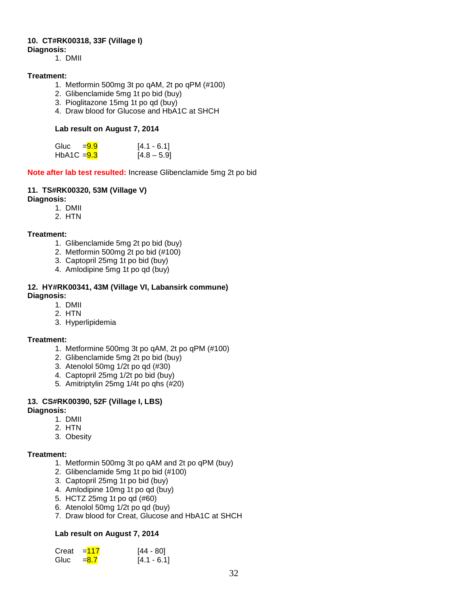### **10. CT#RK00318, 33F (Village I)**

**Diagnosis:** 

1. DMII

#### **Treatment:**

- 1. Metformin 500mg 3t po qAM, 2t po qPM (#100)
- 2. Glibenclamide 5mg 1t po bid (buy)
- 3. Pioglitazone 15mg 1t po qd (buy)
- 4. Draw blood for Glucose and HbA1C at SHCH

#### **Lab result on August 7, 2014**

| Gluc $= 9.9$  | $[4.1 - 6.1]$ |
|---------------|---------------|
| HbA1C $= 9.3$ | $[4.8 - 5.9]$ |

**Note after lab test resulted:** Increase Glibenclamide 5mg 2t po bid

#### **11. TS#RK00320, 53M (Village V)**

**Diagnosis:** 

- 1. DMII
- 2. HTN

#### **Treatment:**

- 1. Glibenclamide 5mg 2t po bid (buy)
- 2. Metformin 500mg 2t po bid (#100)
- 3. Captopril 25mg 1t po bid (buy)
- 4. Amlodipine 5mg 1t po qd (buy)

#### **12. HY#RK00341, 43M (Village VI, Labansirk commune) Diagnosis:**

- 1. DMII
- 2. HTN
- 3. Hyperlipidemia

#### **Treatment:**

- 1. Metformine 500mg 3t po qAM, 2t po qPM (#100)
- 2. Glibenclamide 5mg 2t po bid (buy)
- 3. Atenolol 50mg 1/2t po qd (#30)
- 4. Captopril 25mg 1/2t po bid (buy)
- 5. Amitriptylin 25mg 1/4t po qhs (#20)

### **13. CS#RK00390, 52F (Village I, LBS)**

#### **Diagnosis:**

- 1. DMII
- 2. HTN
- 3. Obesity

#### **Treatment:**

- 1. Metformin 500mg 3t po qAM and 2t po qPM (buy)
- 2. Glibenclamide 5mg 1t po bid (#100)
- 3. Captopril 25mg 1t po bid (buy)
- 4. Amlodipine 10mg 1t po qd (buy)
- 5. HCTZ 25mg 1t po qd (#60)
- 6. Atenolol 50mg 1/2t po qd (buy)
- 7. Draw blood for Creat, Glucose and HbA1C at SHCH

#### **Lab result on August 7, 2014**

| Creat | $=117$  | $[44 - 80]$   |
|-------|---------|---------------|
| Gluc  | $= 8.7$ | $[4.1 - 6.1]$ |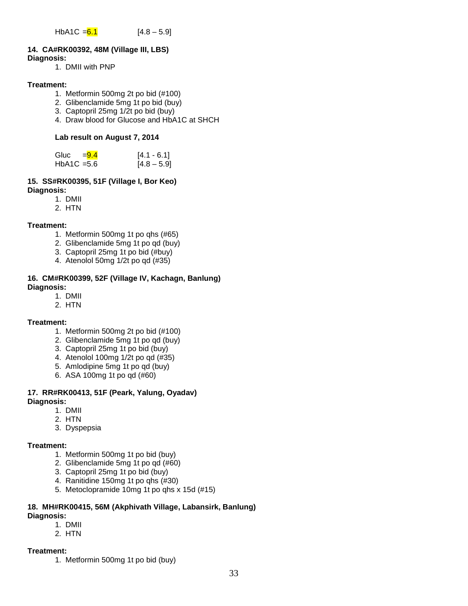### **14. CA#RK00392, 48M (Village III, LBS)**

#### **Diagnosis:**

1. DMII with PNP

#### **Treatment:**

- 1. Metformin 500mg 2t po bid (#100)
- 2. Glibenclamide 5mg 1t po bid (buy)
- 3. Captopril 25mg 1/2t po bid (buy)
- 4. Draw blood for Glucose and HbA1C at SHCH

#### **Lab result on August 7, 2014**

| Gluc          | $= 9.4$ | $[4.1 - 6.1]$ |
|---------------|---------|---------------|
| $HbA1C = 5.6$ |         | $[4.8 - 5.9]$ |

#### **15. SS#RK00395, 51F (Village I, Bor Keo) Diagnosis:**

- 1. DMII
- 2. HTN

#### **Treatment:**

- 1. Metformin 500mg 1t po qhs (#65)
- 2. Glibenclamide 5mg 1t po qd (buy)
- 3. Captopril 25mg 1t po bid (#buy)
- 4. Atenolol 50mg 1/2t po qd (#35)

#### **16. CM#RK00399, 52F (Village IV, Kachagn, Banlung) Diagnosis:**

- 1. DMII
- 2. HTN

#### **Treatment:**

- 1. Metformin 500mg 2t po bid (#100)
- 2. Glibenclamide 5mg 1t po qd (buy)
- 3. Captopril 25mg 1t po bid (buy)
- 4. Atenolol 100mg 1/2t po qd (#35)
- 5. Amlodipine 5mg 1t po qd (buy)
- 6. ASA 100mg 1t po qd (#60)

#### **17. RR#RK00413, 51F (Peark, Yalung, Oyadav) Diagnosis:**

- 1. DMII
- 2. HTN
- 3. Dyspepsia

#### **Treatment:**

- 1. Metformin 500mg 1t po bid (buy)
- 2. Glibenclamide 5mg 1t po qd (#60)
- 3. Captopril 25mg 1t po bid (buy)
- 4. Ranitidine 150mg 1t po qhs (#30)
- 5. Metoclopramide 10mg 1t po qhs x 15d (#15)

#### **18. MH#RK00415, 56M (Akphivath Village, Labansirk, Banlung) Diagnosis:**

### 1. DMII

2. HTN

#### **Treatment:**

1. Metformin 500mg 1t po bid (buy)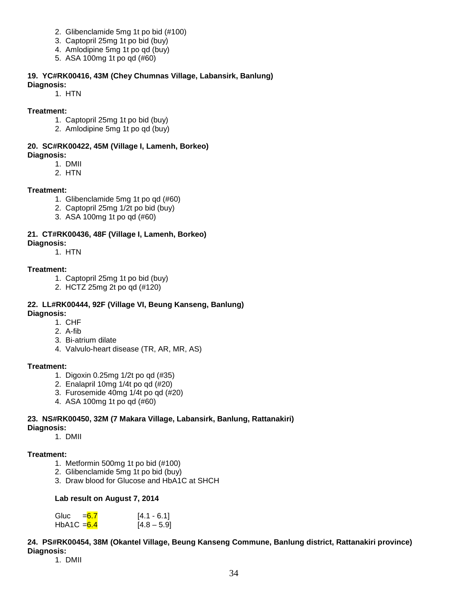- 2. Glibenclamide 5mg 1t po bid (#100)
- 3. Captopril 25mg 1t po bid (buy)
- 4. Amlodipine 5mg 1t po qd (buy)
- 5. ASA 100mg 1t po qd (#60)

#### **19. YC#RK00416, 43M (Chey Chumnas Village, Labansirk, Banlung)**

#### **Diagnosis:**

1. HTN

#### **Treatment:**

- 1. Captopril 25mg 1t po bid (buy)
- 2. Amlodipine 5mg 1t po qd (buy)

#### **20. SC#RK00422, 45M (Village I, Lamenh, Borkeo) Diagnosis:**

- 1. DMII
- 2. HTN

### **Treatment:**

- 1. Glibenclamide 5mg 1t po qd (#60)
- 2. Captopril 25mg 1/2t po bid (buy)
- 3. ASA 100mg 1t po qd (#60)

### **21. CT#RK00436, 48F (Village I, Lamenh, Borkeo) Diagnosis:**

1. HTN

### **Treatment:**

- 1. Captopril 25mg 1t po bid (buy)
- 2. HCTZ 25mg 2t po qd (#120)

#### **22. LL#RK00444, 92F (Village VI, Beung Kanseng, Banlung) Diagnosis:**

- 1. CHF
- 2. A-fib
- 3. Bi-atrium dilate
- 4. Valvulo-heart disease (TR, AR, MR, AS)

### **Treatment:**

- 1. Digoxin 0.25mg 1/2t po qd (#35)
- 2. Enalapril 10mg 1/4t po qd (#20)
- 3. Furosemide 40mg 1/4t po qd (#20)
- 4. ASA 100mg 1t po qd (#60)

### **23. NS#RK00450, 32M (7 Makara Village, Labansirk, Banlung, Rattanakiri)**

- **Diagnosis:**
	- 1. DMII

### **Treatment:**

- 1. Metformin 500mg 1t po bid (#100)
- 2. Glibenclamide 5mg 1t po bid (buy)
- 3. Draw blood for Glucose and HbA1C at SHCH

#### **Lab result on August 7, 2014**

| Gluc          | $= 6.7$ | $[4.1 - 6.1]$ |
|---------------|---------|---------------|
| HbA1C $= 6.4$ |         | $[4.8 - 5.9]$ |

### **24. PS#RK00454, 38M (Okantel Village, Beung Kanseng Commune, Banlung district, Rattanakiri province) Diagnosis:**

1. DMII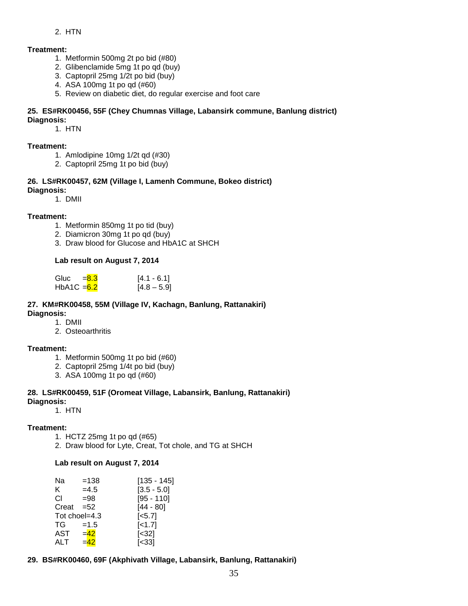#### 2. HTN

#### **Treatment:**

- 1. Metformin 500mg 2t po bid (#80)
- 2. Glibenclamide 5mg 1t po qd (buy)
- 3. Captopril 25mg 1/2t po bid (buy)
- 4. ASA 100mg 1t po qd (#60)
- 5. Review on diabetic diet, do regular exercise and foot care

#### **25. ES#RK00456, 55F (Chey Chumnas Village, Labansirk commune, Banlung district) Diagnosis:**

1. HTN

#### **Treatment:**

- 1. Amlodipine 10mg 1/2t qd (#30)
- 2. Captopril 25mg 1t po bid (buy)

#### **26. LS#RK00457, 62M (Village I, Lamenh Commune, Bokeo district) Diagnosis:**

1. DMII

#### **Treatment:**

- 1. Metformin 850mg 1t po tid (buy)
- 2. Diamicron 30mg 1t po qd (buy)
- 3. Draw blood for Glucose and HbA1C at SHCH

#### **Lab result on August 7, 2014**

| Gluc         | $= 8.3$ | $[4.1 - 6.1]$ |
|--------------|---------|---------------|
| HbA1C $=6.2$ |         | $[4.8 - 5.9]$ |

#### **27. KM#RK00458, 55M (Village IV, Kachagn, Banlung, Rattanakiri) Diagnosis:**

- 1. DMII
- 2. Osteoarthritis

#### **Treatment:**

- 1. Metformin 500mg 1t po bid (#60)
- 2. Captopril 25mg 1/4t po bid (buy)
- 3. ASA 100mg 1t po qd (#60)

#### **28. LS#RK00459, 51F (Oromeat Village, Labansirk, Banlung, Rattanakiri) Diagnosis:**

1. HTN

#### **Treatment:**

- 1. HCTZ 25mg 1t po qd (#65)
- 2. Draw blood for Lyte, Creat, Tot chole, and TG at SHCH

#### **Lab result on August 7, 2014**

| Na    |               |                    |
|-------|---------------|--------------------|
|       | $=138$        | [135 - 145]        |
| K.    | $=4.5$        | $[3.5 - 5.0]$      |
| СI    | $= 98$        | $[95 - 110]$       |
| Creat | $= 52$        | $[44 - 80]$        |
|       | Tot choel=4.3 | [ <sub>5.7</sub> ] |
| TG    | $=1.5$        | $[-1.7]$           |
| AST   | $=42$         | $[<32]$            |
| ALT   | $=42$         | [<33]              |
|       |               |                    |

**29. BS#RK00460, 69F (Akphivath Village, Labansirk, Banlung, Rattanakiri)**